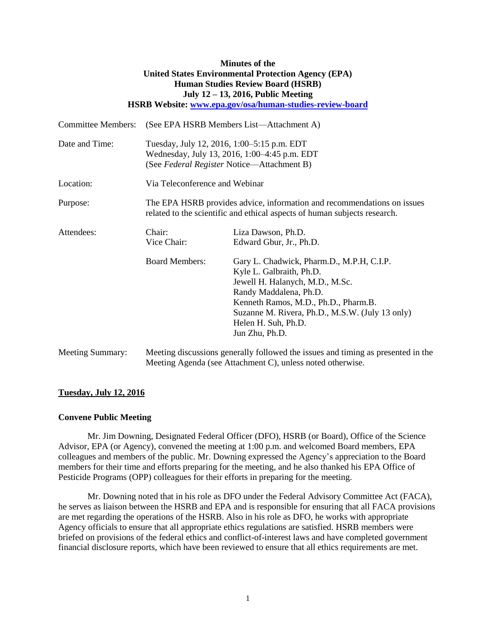## **Minutes of the United States Environmental Protection Agency (EPA) Human Studies Review Board (HSRB) July 12 – 13, 2016, Public Meeting HSRB Website: [www.epa.gov/osa/human-studies-review-board](http://www.epa.gov/osa/human-studies-review-board)**

| <b>Committee Members:</b> | (See EPA HSRB Members List—Attachment A)                                                                                                             |                                                                                                                                                                                                                                                                        |
|---------------------------|------------------------------------------------------------------------------------------------------------------------------------------------------|------------------------------------------------------------------------------------------------------------------------------------------------------------------------------------------------------------------------------------------------------------------------|
| Date and Time:            | Tuesday, July 12, 2016, 1:00–5:15 p.m. EDT<br>Wednesday, July 13, 2016, 1:00-4:45 p.m. EDT<br>(See Federal Register Notice—Attachment B)             |                                                                                                                                                                                                                                                                        |
| Location:                 | Via Teleconference and Webinar                                                                                                                       |                                                                                                                                                                                                                                                                        |
| Purpose:                  | The EPA HSRB provides advice, information and recommendations on issues<br>related to the scientific and ethical aspects of human subjects research. |                                                                                                                                                                                                                                                                        |
| Attendees:                | Chair:<br>Vice Chair:                                                                                                                                | Liza Dawson, Ph.D.<br>Edward Gbur, Jr., Ph.D.                                                                                                                                                                                                                          |
|                           | <b>Board Members:</b>                                                                                                                                | Gary L. Chadwick, Pharm.D., M.P.H, C.I.P.<br>Kyle L. Galbraith, Ph.D.<br>Jewell H. Halanych, M.D., M.Sc.<br>Randy Maddalena, Ph.D.<br>Kenneth Ramos, M.D., Ph.D., Pharm.B.<br>Suzanne M. Rivera, Ph.D., M.S.W. (July 13 only)<br>Helen H. Suh, Ph.D.<br>Jun Zhu, Ph.D. |
|                           |                                                                                                                                                      | 11 0 11 1 1                                                                                                                                                                                                                                                            |

# Meeting Summary: Meeting discussions generally followed the issues and timing as presented in the Meeting Agenda (see Attachment C), unless noted otherwise.

### **Tuesday, July 12, 2016**

### **Convene Public Meeting**

Mr. Jim Downing, Designated Federal Officer (DFO), HSRB (or Board), Office of the Science Advisor, EPA (or Agency), convened the meeting at 1:00 p.m. and welcomed Board members, EPA colleagues and members of the public. Mr. Downing expressed the Agency's appreciation to the Board members for their time and efforts preparing for the meeting, and he also thanked his EPA Office of Pesticide Programs (OPP) colleagues for their efforts in preparing for the meeting.

Mr. Downing noted that in his role as DFO under the Federal Advisory Committee Act (FACA), he serves as liaison between the HSRB and EPA and is responsible for ensuring that all FACA provisions are met regarding the operations of the HSRB. Also in his role as DFO, he works with appropriate Agency officials to ensure that all appropriate ethics regulations are satisfied. HSRB members were briefed on provisions of the federal ethics and conflict-of-interest laws and have completed government financial disclosure reports, which have been reviewed to ensure that all ethics requirements are met.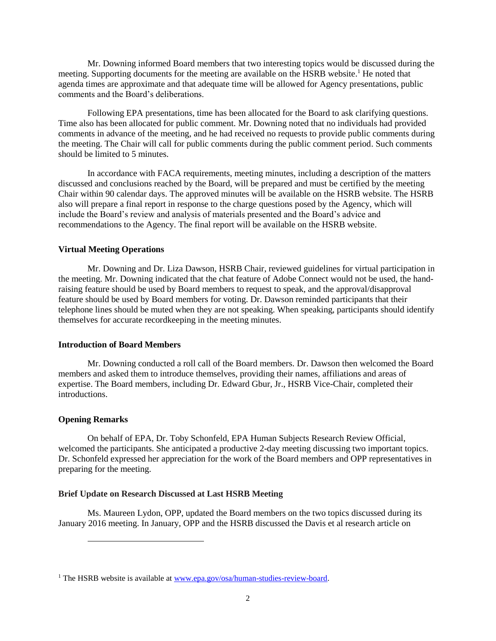Mr. Downing informed Board members that two interesting topics would be discussed during the meeting. Supporting documents for the meeting are available on the HSRB website.<sup>1</sup> He noted that agenda times are approximate and that adequate time will be allowed for Agency presentations, public comments and the Board's deliberations.

Following EPA presentations, time has been allocated for the Board to ask clarifying questions. Time also has been allocated for public comment. Mr. Downing noted that no individuals had provided comments in advance of the meeting, and he had received no requests to provide public comments during the meeting. The Chair will call for public comments during the public comment period. Such comments should be limited to 5 minutes.

In accordance with FACA requirements, meeting minutes, including a description of the matters discussed and conclusions reached by the Board, will be prepared and must be certified by the meeting Chair within 90 calendar days. The approved minutes will be available on the HSRB website. The HSRB also will prepare a final report in response to the charge questions posed by the Agency, which will include the Board's review and analysis of materials presented and the Board's advice and recommendations to the Agency. The final report will be available on the HSRB website.

### **Virtual Meeting Operations**

Mr. Downing and Dr. Liza Dawson, HSRB Chair, reviewed guidelines for virtual participation in the meeting. Mr. Downing indicated that the chat feature of Adobe Connect would not be used, the handraising feature should be used by Board members to request to speak, and the approval/disapproval feature should be used by Board members for voting. Dr. Dawson reminded participants that their telephone lines should be muted when they are not speaking. When speaking, participants should identify themselves for accurate recordkeeping in the meeting minutes.

## **Introduction of Board Members**

Mr. Downing conducted a roll call of the Board members. Dr. Dawson then welcomed the Board members and asked them to introduce themselves, providing their names, affiliations and areas of expertise. The Board members, including Dr. Edward Gbur, Jr., HSRB Vice-Chair, completed their introductions.

### **Opening Remarks**

l

On behalf of EPA, Dr. Toby Schonfeld, EPA Human Subjects Research Review Official, welcomed the participants. She anticipated a productive 2-day meeting discussing two important topics. Dr. Schonfeld expressed her appreciation for the work of the Board members and OPP representatives in preparing for the meeting.

# **Brief Update on Research Discussed at Last HSRB Meeting**

Ms. Maureen Lydon, OPP, updated the Board members on the two topics discussed during its January 2016 meeting. In January, OPP and the HSRB discussed the Davis et al research article on

<sup>&</sup>lt;sup>1</sup> The HSRB website is available at [www.epa.gov/osa/human-studies-review-board.](http://www.epa.gov/osa/human-studies-review-board)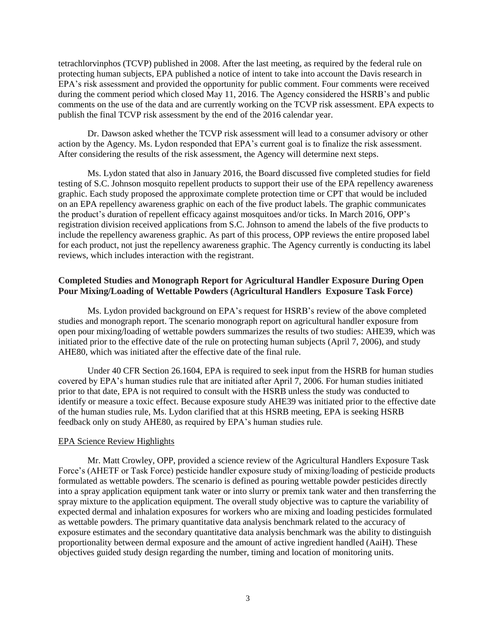tetrachlorvinphos (TCVP) published in 2008. After the last meeting, as required by the federal rule on protecting human subjects, EPA published a notice of intent to take into account the Davis research in EPA's risk assessment and provided the opportunity for public comment. Four comments were received during the comment period which closed May 11, 2016. The Agency considered the HSRB's and public comments on the use of the data and are currently working on the TCVP risk assessment. EPA expects to publish the final TCVP risk assessment by the end of the 2016 calendar year.

Dr. Dawson asked whether the TCVP risk assessment will lead to a consumer advisory or other action by the Agency. Ms. Lydon responded that EPA's current goal is to finalize the risk assessment. After considering the results of the risk assessment, the Agency will determine next steps.

Ms. Lydon stated that also in January 2016, the Board discussed five completed studies for field testing of S.C. Johnson mosquito repellent products to support their use of the EPA repellency awareness graphic. Each study proposed the approximate complete protection time or CPT that would be included on an EPA repellency awareness graphic on each of the five product labels. The graphic communicates the product's duration of repellent efficacy against mosquitoes and/or ticks. In March 2016, OPP's registration division received applications from S.C. Johnson to amend the labels of the five products to include the repellency awareness graphic. As part of this process, OPP reviews the entire proposed label for each product, not just the repellency awareness graphic. The Agency currently is conducting its label reviews, which includes interaction with the registrant.

# **Completed Studies and Monograph Report for Agricultural Handler Exposure During Open Pour Mixing/Loading of Wettable Powders (Agricultural Handlers Exposure Task Force)**

Ms. Lydon provided background on EPA's request for HSRB's review of the above completed studies and monograph report. The scenario monograph report on agricultural handler exposure from open pour mixing/loading of wettable powders summarizes the results of two studies: AHE39, which was initiated prior to the effective date of the rule on protecting human subjects (April 7, 2006), and study AHE80, which was initiated after the effective date of the final rule.

Under 40 CFR Section 26.1604, EPA is required to seek input from the HSRB for human studies covered by EPA's human studies rule that are initiated after April 7, 2006. For human studies initiated prior to that date, EPA is not required to consult with the HSRB unless the study was conducted to identify or measure a toxic effect. Because exposure study AHE39 was initiated prior to the effective date of the human studies rule, Ms. Lydon clarified that at this HSRB meeting, EPA is seeking HSRB feedback only on study AHE80, as required by EPA's human studies rule.

### EPA Science Review Highlights

Mr. Matt Crowley, OPP, provided a science review of the Agricultural Handlers Exposure Task Force's (AHETF or Task Force) pesticide handler exposure study of mixing/loading of pesticide products formulated as wettable powders. The scenario is defined as pouring wettable powder pesticides directly into a spray application equipment tank water or into slurry or premix tank water and then transferring the spray mixture to the application equipment. The overall study objective was to capture the variability of expected dermal and inhalation exposures for workers who are mixing and loading pesticides formulated as wettable powders. The primary quantitative data analysis benchmark related to the accuracy of exposure estimates and the secondary quantitative data analysis benchmark was the ability to distinguish proportionality between dermal exposure and the amount of active ingredient handled (AaiH). These objectives guided study design regarding the number, timing and location of monitoring units.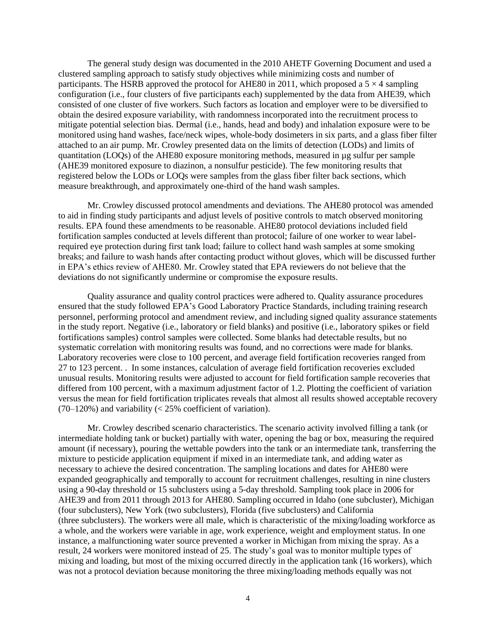The general study design was documented in the 2010 AHETF Governing Document and used a clustered sampling approach to satisfy study objectives while minimizing costs and number of participants. The HSRB approved the protocol for AHE80 in 2011, which proposed a  $5 \times 4$  sampling configuration (i.e., four clusters of five participants each) supplemented by the data from AHE39, which consisted of one cluster of five workers. Such factors as location and employer were to be diversified to obtain the desired exposure variability, with randomness incorporated into the recruitment process to mitigate potential selection bias. Dermal (i.e., hands, head and body) and inhalation exposure were to be monitored using hand washes, face/neck wipes, whole-body dosimeters in six parts, and a glass fiber filter attached to an air pump. Mr. Crowley presented data on the limits of detection (LODs) and limits of quantitation (LOQs) of the AHE80 exposure monitoring methods, measured in µg sulfur per sample (AHE39 monitored exposure to diazinon, a nonsulfur pesticide). The few monitoring results that registered below the LODs or LOQs were samples from the glass fiber filter back sections, which measure breakthrough, and approximately one-third of the hand wash samples.

Mr. Crowley discussed protocol amendments and deviations. The AHE80 protocol was amended to aid in finding study participants and adjust levels of positive controls to match observed monitoring results. EPA found these amendments to be reasonable. AHE80 protocol deviations included field fortification samples conducted at levels different than protocol; failure of one worker to wear labelrequired eye protection during first tank load; failure to collect hand wash samples at some smoking breaks; and failure to wash hands after contacting product without gloves, which will be discussed further in EPA's ethics review of AHE80. Mr. Crowley stated that EPA reviewers do not believe that the deviations do not significantly undermine or compromise the exposure results.

Quality assurance and quality control practices were adhered to. Quality assurance procedures ensured that the study followed EPA's Good Laboratory Practice Standards, including training research personnel, performing protocol and amendment review, and including signed quality assurance statements in the study report. Negative (i.e., laboratory or field blanks) and positive (i.e., laboratory spikes or field fortifications samples) control samples were collected. Some blanks had detectable results, but no systematic correlation with monitoring results was found, and no corrections were made for blanks. Laboratory recoveries were close to 100 percent, and average field fortification recoveries ranged from 27 to 123 percent. . In some instances, calculation of average field fortification recoveries excluded unusual results. Monitoring results were adjusted to account for field fortification sample recoveries that differed from 100 percent, with a maximum adjustment factor of 1.2. Plotting the coefficient of variation versus the mean for field fortification triplicates reveals that almost all results showed acceptable recovery  $(70-120%)$  and variability (< 25% coefficient of variation).

Mr. Crowley described scenario characteristics. The scenario activity involved filling a tank (or intermediate holding tank or bucket) partially with water, opening the bag or box, measuring the required amount (if necessary), pouring the wettable powders into the tank or an intermediate tank, transferring the mixture to pesticide application equipment if mixed in an intermediate tank, and adding water as necessary to achieve the desired concentration. The sampling locations and dates for AHE80 were expanded geographically and temporally to account for recruitment challenges, resulting in nine clusters using a 90-day threshold or 15 subclusters using a 5-day threshold. Sampling took place in 2006 for AHE39 and from 2011 through 2013 for AHE80. Sampling occurred in Idaho (one subcluster), Michigan (four subclusters), New York (two subclusters), Florida (five subclusters) and California (three subclusters). The workers were all male, which is characteristic of the mixing/loading workforce as a whole, and the workers were variable in age, work experience, weight and employment status. In one instance, a malfunctioning water source prevented a worker in Michigan from mixing the spray. As a result, 24 workers were monitored instead of 25. The study's goal was to monitor multiple types of mixing and loading, but most of the mixing occurred directly in the application tank (16 workers), which was not a protocol deviation because monitoring the three mixing/loading methods equally was not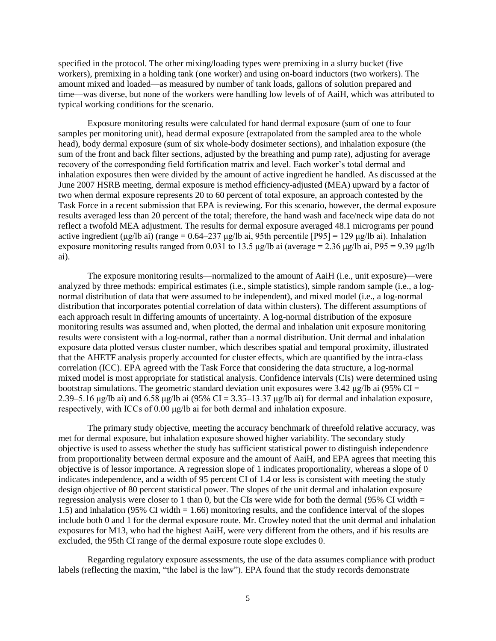specified in the protocol. The other mixing/loading types were premixing in a slurry bucket (five workers), premixing in a holding tank (one worker) and using on-board inductors (two workers). The amount mixed and loaded—as measured by number of tank loads, gallons of solution prepared and time—was diverse, but none of the workers were handling low levels of of AaiH, which was attributed to typical working conditions for the scenario.

Exposure monitoring results were calculated for hand dermal exposure (sum of one to four samples per monitoring unit), head dermal exposure (extrapolated from the sampled area to the whole head), body dermal exposure (sum of six whole-body dosimeter sections), and inhalation exposure (the sum of the front and back filter sections, adjusted by the breathing and pump rate), adjusting for average recovery of the corresponding field fortification matrix and level. Each worker's total dermal and inhalation exposures then were divided by the amount of active ingredient he handled. As discussed at the June 2007 HSRB meeting, dermal exposure is method efficiency-adjusted (MEA) upward by a factor of two when dermal exposure represents 20 to 60 percent of total exposure, an approach contested by the Task Force in a recent submission that EPA is reviewing. For this scenario, however, the dermal exposure results averaged less than 20 percent of the total; therefore, the hand wash and face/neck wipe data do not reflect a twofold MEA adjustment. The results for dermal exposure averaged 48.1 micrograms per pound active ingredient (μg/lb ai) (range =  $0.64-237$  μg/lb ai, 95th percentile [P95] = 129 μg/lb ai). Inhalation exposure monitoring results ranged from 0.031 to 13.5 μg/lb ai (average = 2.36 μg/lb ai, P95 = 9.39 μg/lb ai).

The exposure monitoring results—normalized to the amount of AaiH (i.e., unit exposure)—were analyzed by three methods: empirical estimates (i.e., simple statistics), simple random sample (i.e., a lognormal distribution of data that were assumed to be independent), and mixed model (i.e., a log-normal distribution that incorporates potential correlation of data within clusters). The different assumptions of each approach result in differing amounts of uncertainty. A log-normal distribution of the exposure monitoring results was assumed and, when plotted, the dermal and inhalation unit exposure monitoring results were consistent with a log-normal, rather than a normal distribution. Unit dermal and inhalation exposure data plotted versus cluster number, which describes spatial and temporal proximity, illustrated that the AHETF analysis properly accounted for cluster effects, which are quantified by the intra-class correlation (ICC). EPA agreed with the Task Force that considering the data structure, a log-normal mixed model is most appropriate for statistical analysis. Confidence intervals (CIs) were determined using bootstrap simulations. The geometric standard deviation unit exposures were 3.42 μg/lb ai (95% CI = 2.39–5.16 μg/lb ai) and 6.58 μg/lb ai (95% CI = 3.35–13.37 μg/lb ai) for dermal and inhalation exposure, respectively, with ICCs of 0.00 μg/lb ai for both dermal and inhalation exposure.

The primary study objective, meeting the accuracy benchmark of threefold relative accuracy, was met for dermal exposure, but inhalation exposure showed higher variability. The secondary study objective is used to assess whether the study has sufficient statistical power to distinguish independence from proportionality between dermal exposure and the amount of AaiH, and EPA agrees that meeting this objective is of lessor importance. A regression slope of 1 indicates proportionality, whereas a slope of 0 indicates independence, and a width of 95 percent CI of 1.4 or less is consistent with meeting the study design objective of 80 percent statistical power. The slopes of the unit dermal and inhalation exposure regression analysis were closer to 1 than 0, but the CIs were wide for both the dermal (95% CI width  $=$ 1.5) and inhalation (95% CI width = 1.66) monitoring results, and the confidence interval of the slopes include both 0 and 1 for the dermal exposure route. Mr. Crowley noted that the unit dermal and inhalation exposures for M13, who had the highest AaiH, were very different from the others, and if his results are excluded, the 95th CI range of the dermal exposure route slope excludes 0.

Regarding regulatory exposure assessments, the use of the data assumes compliance with product labels (reflecting the maxim, "the label is the law"). EPA found that the study records demonstrate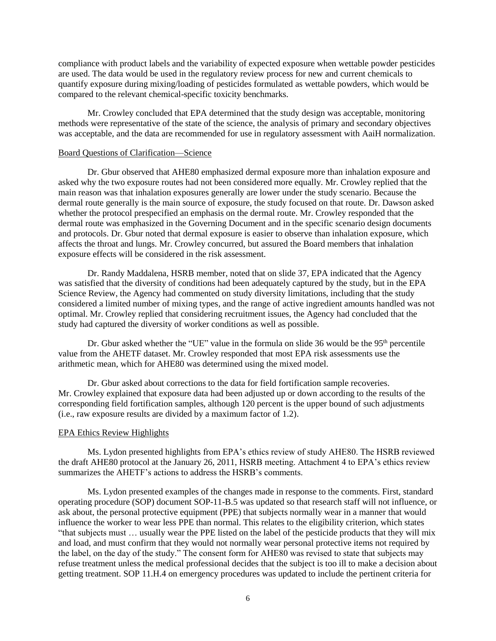compliance with product labels and the variability of expected exposure when wettable powder pesticides are used. The data would be used in the regulatory review process for new and current chemicals to quantify exposure during mixing/loading of pesticides formulated as wettable powders, which would be compared to the relevant chemical-specific toxicity benchmarks.

Mr. Crowley concluded that EPA determined that the study design was acceptable, monitoring methods were representative of the state of the science, the analysis of primary and secondary objectives was acceptable, and the data are recommended for use in regulatory assessment with AaiH normalization.

### Board Questions of Clarification—Science

Dr. Gbur observed that AHE80 emphasized dermal exposure more than inhalation exposure and asked why the two exposure routes had not been considered more equally. Mr. Crowley replied that the main reason was that inhalation exposures generally are lower under the study scenario. Because the dermal route generally is the main source of exposure, the study focused on that route. Dr. Dawson asked whether the protocol prespecified an emphasis on the dermal route. Mr. Crowley responded that the dermal route was emphasized in the Governing Document and in the specific scenario design documents and protocols. Dr. Gbur noted that dermal exposure is easier to observe than inhalation exposure, which affects the throat and lungs. Mr. Crowley concurred, but assured the Board members that inhalation exposure effects will be considered in the risk assessment.

Dr. Randy Maddalena, HSRB member, noted that on slide 37, EPA indicated that the Agency was satisfied that the diversity of conditions had been adequately captured by the study, but in the EPA Science Review, the Agency had commented on study diversity limitations, including that the study considered a limited number of mixing types, and the range of active ingredient amounts handled was not optimal. Mr. Crowley replied that considering recruitment issues, the Agency had concluded that the study had captured the diversity of worker conditions as well as possible.

Dr. Gbur asked whether the "UE" value in the formula on slide 36 would be the 95<sup>th</sup> percentile value from the AHETF dataset. Mr. Crowley responded that most EPA risk assessments use the arithmetic mean, which for AHE80 was determined using the mixed model.

Dr. Gbur asked about corrections to the data for field fortification sample recoveries. Mr. Crowley explained that exposure data had been adjusted up or down according to the results of the corresponding field fortification samples, although 120 percent is the upper bound of such adjustments (i.e., raw exposure results are divided by a maximum factor of 1.2).

### EPA Ethics Review Highlights

Ms. Lydon presented highlights from EPA's ethics review of study AHE80. The HSRB reviewed the draft AHE80 protocol at the January 26, 2011, HSRB meeting. Attachment 4 to EPA's ethics review summarizes the AHETF's actions to address the HSRB's comments.

Ms. Lydon presented examples of the changes made in response to the comments. First, standard operating procedure (SOP) document SOP-11-B.5 was updated so that research staff will not influence, or ask about, the personal protective equipment (PPE) that subjects normally wear in a manner that would influence the worker to wear less PPE than normal. This relates to the eligibility criterion, which states "that subjects must … usually wear the PPE listed on the label of the pesticide products that they will mix and load, and must confirm that they would not normally wear personal protective items not required by the label, on the day of the study." The consent form for AHE80 was revised to state that subjects may refuse treatment unless the medical professional decides that the subject is too ill to make a decision about getting treatment. SOP 11.H.4 on emergency procedures was updated to include the pertinent criteria for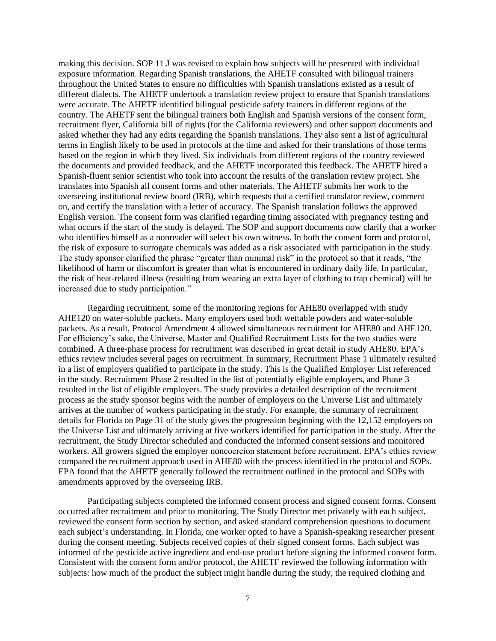making this decision. SOP 11.J was revised to explain how subjects will be presented with individual exposure information. Regarding Spanish translations, the AHETF consulted with bilingual trainers throughout the United States to ensure no difficulties with Spanish translations existed as a result of different dialects. The AHETF undertook a translation review project to ensure that Spanish translations were accurate. The AHETF identified bilingual pesticide safety trainers in different regions of the country. The AHETF sent the bilingual trainers both English and Spanish versions of the consent form, recruitment flyer, California bill of rights (for the California reviewers) and other support documents and asked whether they had any edits regarding the Spanish translations. They also sent a list of agricultural terms in English likely to be used in protocols at the time and asked for their translations of those terms based on the region in which they lived. Six individuals from different regions of the country reviewed the documents and provided feedback, and the AHETF incorporated this feedback. The AHETF hired a Spanish-fluent senior scientist who took into account the results of the translation review project. She translates into Spanish all consent forms and other materials. The AHETF submits her work to the overseeing institutional review board (IRB), which requests that a certified translator review, comment on, and certify the translation with a letter of accuracy. The Spanish translation follows the approved English version. The consent form was clarified regarding timing associated with pregnancy testing and what occurs if the start of the study is delayed. The SOP and support documents now clarify that a worker who identifies himself as a nonreader will select his own witness. In both the consent form and protocol, the risk of exposure to surrogate chemicals was added as a risk associated with participation in the study. The study sponsor clarified the phrase "greater than minimal risk" in the protocol so that it reads, "the likelihood of harm or discomfort is greater than what is encountered in ordinary daily life. In particular, the risk of heat-related illness (resulting from wearing an extra layer of clothing to trap chemical) will be increased due to study participation."

Regarding recruitment, some of the monitoring regions for AHE80 overlapped with study AHE120 on water-soluble packets. Many employers used both wettable powders and water-soluble packets. As a result, Protocol Amendment 4 allowed simultaneous recruitment for AHE80 and AHE120. For efficiency's sake, the Universe, Master and Qualified Recruitment Lists for the two studies were combined. A three-phase process for recruitment was described in great detail in study AHE80. EPA's ethics review includes several pages on recruitment. In summary, Recruitment Phase 1 ultimately resulted in a list of employers qualified to participate in the study. This is the Qualified Employer List referenced in the study. Recruitment Phase 2 resulted in the list of potentially eligible employers, and Phase 3 resulted in the list of eligible employers. The study provides a detailed description of the recruitment process as the study sponsor begins with the number of employers on the Universe List and ultimately arrives at the number of workers participating in the study. For example, the summary of recruitment details for Florida on Page 31 of the study gives the progression beginning with the 12,152 employers on the Universe List and ultimately arriving at five workers identified for participation in the study. After the recruitment, the Study Director scheduled and conducted the informed consent sessions and monitored workers. All growers signed the employer noncoercion statement before recruitment. EPA's ethics review compared the recruitment approach used in AHE80 with the process identified in the protocol and SOPs. EPA found that the AHETF generally followed the recruitment outlined in the protocol and SOPs with amendments approved by the overseeing IRB.

Participating subjects completed the informed consent process and signed consent forms. Consent occurred after recruitment and prior to monitoring. The Study Director met privately with each subject, reviewed the consent form section by section, and asked standard comprehension questions to document each subject's understanding. In Florida, one worker opted to have a Spanish-speaking researcher present during the consent meeting. Subjects received copies of their signed consent forms. Each subject was informed of the pesticide active ingredient and end-use product before signing the informed consent form. Consistent with the consent form and/or protocol, the AHETF reviewed the following information with subjects: how much of the product the subject might handle during the study, the required clothing and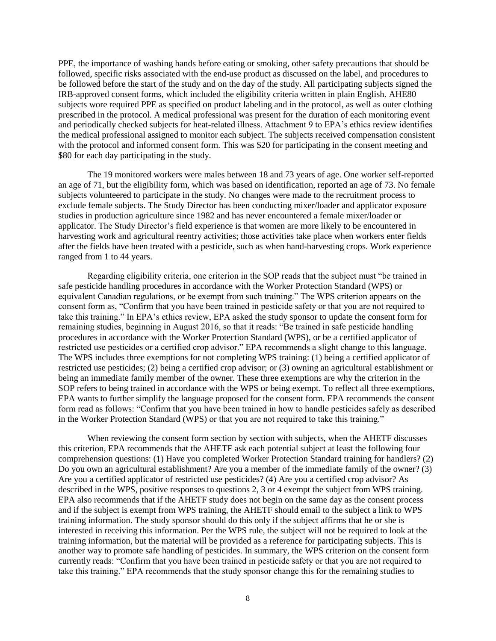PPE, the importance of washing hands before eating or smoking, other safety precautions that should be followed, specific risks associated with the end-use product as discussed on the label, and procedures to be followed before the start of the study and on the day of the study. All participating subjects signed the IRB-approved consent forms, which included the eligibility criteria written in plain English. AHE80 subjects wore required PPE as specified on product labeling and in the protocol, as well as outer clothing prescribed in the protocol. A medical professional was present for the duration of each monitoring event and periodically checked subjects for heat-related illness. Attachment 9 to EPA's ethics review identifies the medical professional assigned to monitor each subject. The subjects received compensation consistent with the protocol and informed consent form. This was \$20 for participating in the consent meeting and \$80 for each day participating in the study.

The 19 monitored workers were males between 18 and 73 years of age. One worker self-reported an age of 71, but the eligibility form, which was based on identification, reported an age of 73. No female subjects volunteered to participate in the study. No changes were made to the recruitment process to exclude female subjects. The Study Director has been conducting mixer/loader and applicator exposure studies in production agriculture since 1982 and has never encountered a female mixer/loader or applicator. The Study Director's field experience is that women are more likely to be encountered in harvesting work and agricultural reentry activities; those activities take place when workers enter fields after the fields have been treated with a pesticide, such as when hand-harvesting crops. Work experience ranged from 1 to 44 years.

Regarding eligibility criteria, one criterion in the SOP reads that the subject must "be trained in safe pesticide handling procedures in accordance with the Worker Protection Standard (WPS) or equivalent Canadian regulations, or be exempt from such training." The WPS criterion appears on the consent form as, "Confirm that you have been trained in pesticide safety or that you are not required to take this training." In EPA's ethics review, EPA asked the study sponsor to update the consent form for remaining studies, beginning in August 2016, so that it reads: "Be trained in safe pesticide handling procedures in accordance with the Worker Protection Standard (WPS), or be a certified applicator of restricted use pesticides or a certified crop advisor." EPA recommends a slight change to this language. The WPS includes three exemptions for not completing WPS training: (1) being a certified applicator of restricted use pesticides; (2) being a certified crop advisor; or (3) owning an agricultural establishment or being an immediate family member of the owner. These three exemptions are why the criterion in the SOP refers to being trained in accordance with the WPS or being exempt. To reflect all three exemptions, EPA wants to further simplify the language proposed for the consent form. EPA recommends the consent form read as follows: "Confirm that you have been trained in how to handle pesticides safely as described in the Worker Protection Standard (WPS) or that you are not required to take this training."

When reviewing the consent form section by section with subjects, when the AHETF discusses this criterion, EPA recommends that the AHETF ask each potential subject at least the following four comprehension questions: (1) Have you completed Worker Protection Standard training for handlers? (2) Do you own an agricultural establishment? Are you a member of the immediate family of the owner? (3) Are you a certified applicator of restricted use pesticides? (4) Are you a certified crop advisor? As described in the WPS, positive responses to questions 2, 3 or 4 exempt the subject from WPS training. EPA also recommends that if the AHETF study does not begin on the same day as the consent process and if the subject is exempt from WPS training, the AHETF should email to the subject a link to WPS training information. The study sponsor should do this only if the subject affirms that he or she is interested in receiving this information. Per the WPS rule, the subject will not be required to look at the training information, but the material will be provided as a reference for participating subjects. This is another way to promote safe handling of pesticides. In summary, the WPS criterion on the consent form currently reads: "Confirm that you have been trained in pesticide safety or that you are not required to take this training." EPA recommends that the study sponsor change this for the remaining studies to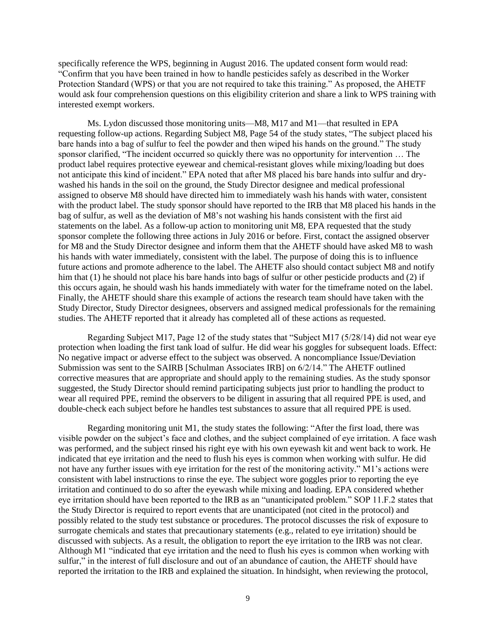specifically reference the WPS, beginning in August 2016. The updated consent form would read: "Confirm that you have been trained in how to handle pesticides safely as described in the Worker Protection Standard (WPS) or that you are not required to take this training." As proposed, the AHETF would ask four comprehension questions on this eligibility criterion and share a link to WPS training with interested exempt workers.

Ms. Lydon discussed those monitoring units—M8, M17 and M1—that resulted in EPA requesting follow-up actions. Regarding Subject M8, Page 54 of the study states, "The subject placed his bare hands into a bag of sulfur to feel the powder and then wiped his hands on the ground." The study sponsor clarified, "The incident occurred so quickly there was no opportunity for intervention … The product label requires protective eyewear and chemical-resistant gloves while mixing/loading but does not anticipate this kind of incident." EPA noted that after M8 placed his bare hands into sulfur and drywashed his hands in the soil on the ground, the Study Director designee and medical professional assigned to observe M8 should have directed him to immediately wash his hands with water, consistent with the product label. The study sponsor should have reported to the IRB that M8 placed his hands in the bag of sulfur, as well as the deviation of M8's not washing his hands consistent with the first aid statements on the label. As a follow-up action to monitoring unit M8, EPA requested that the study sponsor complete the following three actions in July 2016 or before. First, contact the assigned observer for M8 and the Study Director designee and inform them that the AHETF should have asked M8 to wash his hands with water immediately, consistent with the label. The purpose of doing this is to influence future actions and promote adherence to the label. The AHETF also should contact subject M8 and notify him that (1) he should not place his bare hands into bags of sulfur or other pesticide products and (2) if this occurs again, he should wash his hands immediately with water for the timeframe noted on the label. Finally, the AHETF should share this example of actions the research team should have taken with the Study Director, Study Director designees, observers and assigned medical professionals for the remaining studies. The AHETF reported that it already has completed all of these actions as requested.

Regarding Subject M17, Page 12 of the study states that "Subject M17 (5/28/14) did not wear eye protection when loading the first tank load of sulfur. He did wear his goggles for subsequent loads. Effect: No negative impact or adverse effect to the subject was observed. A noncompliance Issue/Deviation Submission was sent to the SAIRB [Schulman Associates IRB] on 6/2/14." The AHETF outlined corrective measures that are appropriate and should apply to the remaining studies. As the study sponsor suggested, the Study Director should remind participating subjects just prior to handling the product to wear all required PPE, remind the observers to be diligent in assuring that all required PPE is used, and double-check each subject before he handles test substances to assure that all required PPE is used.

Regarding monitoring unit M1, the study states the following: "After the first load, there was visible powder on the subject's face and clothes, and the subject complained of eye irritation. A face wash was performed, and the subject rinsed his right eye with his own eyewash kit and went back to work. He indicated that eye irritation and the need to flush his eyes is common when working with sulfur. He did not have any further issues with eye irritation for the rest of the monitoring activity." M1's actions were consistent with label instructions to rinse the eye. The subject wore goggles prior to reporting the eye irritation and continued to do so after the eyewash while mixing and loading. EPA considered whether eye irritation should have been reported to the IRB as an "unanticipated problem." SOP 11.F.2 states that the Study Director is required to report events that are unanticipated (not cited in the protocol) and possibly related to the study test substance or procedures. The protocol discusses the risk of exposure to surrogate chemicals and states that precautionary statements (e.g., related to eye irritation) should be discussed with subjects. As a result, the obligation to report the eye irritation to the IRB was not clear. Although M1 "indicated that eye irritation and the need to flush his eyes is common when working with sulfur," in the interest of full disclosure and out of an abundance of caution, the AHETF should have reported the irritation to the IRB and explained the situation. In hindsight, when reviewing the protocol,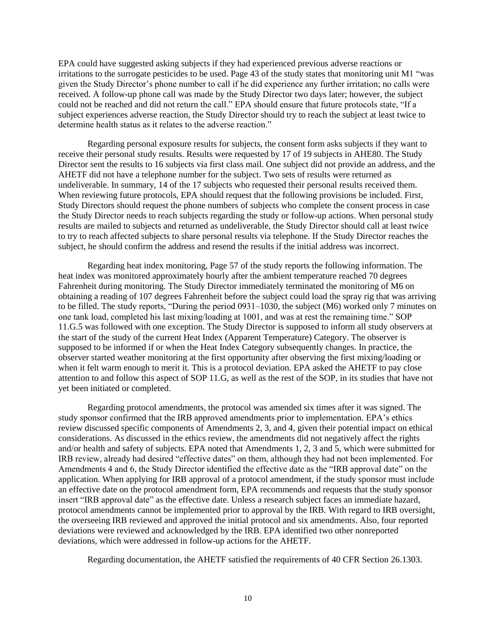EPA could have suggested asking subjects if they had experienced previous adverse reactions or irritations to the surrogate pesticides to be used. Page 43 of the study states that monitoring unit M1 "was given the Study Director's phone number to call if he did experience any further irritation; no calls were received. A follow-up phone call was made by the Study Director two days later; however, the subject could not be reached and did not return the call." EPA should ensure that future protocols state, "If a subject experiences adverse reaction, the Study Director should try to reach the subject at least twice to determine health status as it relates to the adverse reaction."

Regarding personal exposure results for subjects, the consent form asks subjects if they want to receive their personal study results. Results were requested by 17 of 19 subjects in AHE80. The Study Director sent the results to 16 subjects via first class mail. One subject did not provide an address, and the AHETF did not have a telephone number for the subject. Two sets of results were returned as undeliverable. In summary, 14 of the 17 subjects who requested their personal results received them. When reviewing future protocols, EPA should request that the following provisions be included. First, Study Directors should request the phone numbers of subjects who complete the consent process in case the Study Director needs to reach subjects regarding the study or follow-up actions. When personal study results are mailed to subjects and returned as undeliverable, the Study Director should call at least twice to try to reach affected subjects to share personal results via telephone. If the Study Director reaches the subject, he should confirm the address and resend the results if the initial address was incorrect.

Regarding heat index monitoring, Page 57 of the study reports the following information. The heat index was monitored approximately hourly after the ambient temperature reached 70 degrees Fahrenheit during monitoring. The Study Director immediately terminated the monitoring of M6 on obtaining a reading of 107 degrees Fahrenheit before the subject could load the spray rig that was arriving to be filled. The study reports, "During the period 0931–1030, the subject (M6) worked only 7 minutes on one tank load, completed his last mixing/loading at 1001, and was at rest the remaining time." SOP 11.G.5 was followed with one exception. The Study Director is supposed to inform all study observers at the start of the study of the current Heat Index (Apparent Temperature) Category. The observer is supposed to be informed if or when the Heat Index Category subsequently changes. In practice, the observer started weather monitoring at the first opportunity after observing the first mixing/loading or when it felt warm enough to merit it. This is a protocol deviation. EPA asked the AHETF to pay close attention to and follow this aspect of SOP 11.G, as well as the rest of the SOP, in its studies that have not yet been initiated or completed.

Regarding protocol amendments, the protocol was amended six times after it was signed. The study sponsor confirmed that the IRB approved amendments prior to implementation. EPA's ethics review discussed specific components of Amendments 2, 3, and 4, given their potential impact on ethical considerations. As discussed in the ethics review, the amendments did not negatively affect the rights and/or health and safety of subjects. EPA noted that Amendments 1, 2, 3 and 5, which were submitted for IRB review, already had desired "effective dates" on them, although they had not been implemented. For Amendments 4 and 6, the Study Director identified the effective date as the "IRB approval date" on the application. When applying for IRB approval of a protocol amendment, if the study sponsor must include an effective date on the protocol amendment form, EPA recommends and requests that the study sponsor insert "IRB approval date" as the effective date. Unless a research subject faces an immediate hazard, protocol amendments cannot be implemented prior to approval by the IRB. With regard to IRB oversight, the overseeing IRB reviewed and approved the initial protocol and six amendments. Also, four reported deviations were reviewed and acknowledged by the IRB. EPA identified two other nonreported deviations, which were addressed in follow-up actions for the AHETF.

Regarding documentation, the AHETF satisfied the requirements of 40 CFR Section 26.1303.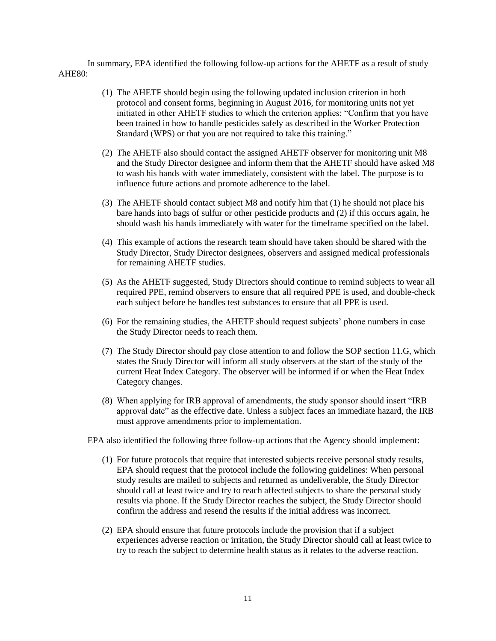In summary, EPA identified the following follow-up actions for the AHETF as a result of study AHE80:

- (1) The AHETF should begin using the following updated inclusion criterion in both protocol and consent forms, beginning in August 2016, for monitoring units not yet initiated in other AHETF studies to which the criterion applies: "Confirm that you have been trained in how to handle pesticides safely as described in the Worker Protection Standard (WPS) or that you are not required to take this training."
- (2) The AHETF also should contact the assigned AHETF observer for monitoring unit M8 and the Study Director designee and inform them that the AHETF should have asked M8 to wash his hands with water immediately, consistent with the label. The purpose is to influence future actions and promote adherence to the label.
- (3) The AHETF should contact subject M8 and notify him that (1) he should not place his bare hands into bags of sulfur or other pesticide products and (2) if this occurs again, he should wash his hands immediately with water for the timeframe specified on the label.
- (4) This example of actions the research team should have taken should be shared with the Study Director, Study Director designees, observers and assigned medical professionals for remaining AHETF studies.
- (5) As the AHETF suggested, Study Directors should continue to remind subjects to wear all required PPE, remind observers to ensure that all required PPE is used, and double-check each subject before he handles test substances to ensure that all PPE is used.
- (6) For the remaining studies, the AHETF should request subjects' phone numbers in case the Study Director needs to reach them.
- (7) The Study Director should pay close attention to and follow the SOP section 11.G, which states the Study Director will inform all study observers at the start of the study of the current Heat Index Category. The observer will be informed if or when the Heat Index Category changes.
- (8) When applying for IRB approval of amendments, the study sponsor should insert "IRB approval date" as the effective date. Unless a subject faces an immediate hazard, the IRB must approve amendments prior to implementation.

EPA also identified the following three follow-up actions that the Agency should implement:

- (1) For future protocols that require that interested subjects receive personal study results, EPA should request that the protocol include the following guidelines: When personal study results are mailed to subjects and returned as undeliverable, the Study Director should call at least twice and try to reach affected subjects to share the personal study results via phone. If the Study Director reaches the subject, the Study Director should confirm the address and resend the results if the initial address was incorrect.
- (2) EPA should ensure that future protocols include the provision that if a subject experiences adverse reaction or irritation, the Study Director should call at least twice to try to reach the subject to determine health status as it relates to the adverse reaction.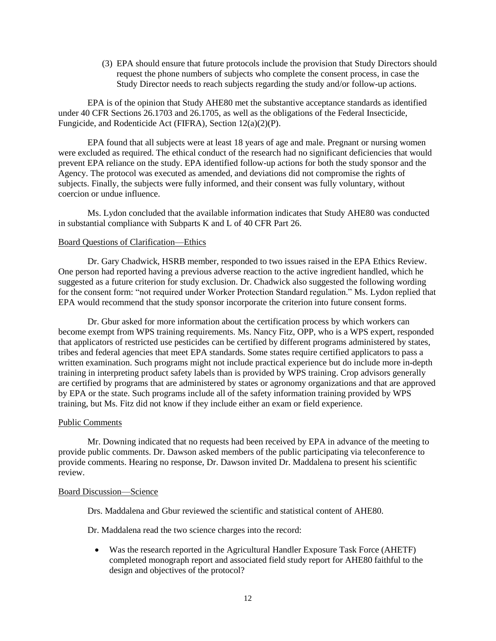(3) EPA should ensure that future protocols include the provision that Study Directors should request the phone numbers of subjects who complete the consent process, in case the Study Director needs to reach subjects regarding the study and/or follow-up actions.

EPA is of the opinion that Study AHE80 met the substantive acceptance standards as identified under 40 CFR Sections 26.1703 and 26.1705, as well as the obligations of the Federal Insecticide, Fungicide, and Rodenticide Act (FIFRA), Section 12(a)(2)(P).

EPA found that all subjects were at least 18 years of age and male. Pregnant or nursing women were excluded as required. The ethical conduct of the research had no significant deficiencies that would prevent EPA reliance on the study. EPA identified follow-up actions for both the study sponsor and the Agency. The protocol was executed as amended, and deviations did not compromise the rights of subjects. Finally, the subjects were fully informed, and their consent was fully voluntary, without coercion or undue influence.

Ms. Lydon concluded that the available information indicates that Study AHE80 was conducted in substantial compliance with Subparts K and L of 40 CFR Part 26.

#### Board Questions of Clarification—Ethics

Dr. Gary Chadwick, HSRB member, responded to two issues raised in the EPA Ethics Review. One person had reported having a previous adverse reaction to the active ingredient handled, which he suggested as a future criterion for study exclusion. Dr. Chadwick also suggested the following wording for the consent form: "not required under Worker Protection Standard regulation." Ms. Lydon replied that EPA would recommend that the study sponsor incorporate the criterion into future consent forms.

Dr. Gbur asked for more information about the certification process by which workers can become exempt from WPS training requirements. Ms. Nancy Fitz, OPP, who is a WPS expert, responded that applicators of restricted use pesticides can be certified by different programs administered by states, tribes and federal agencies that meet EPA standards. Some states require certified applicators to pass a written examination. Such programs might not include practical experience but do include more in-depth training in interpreting product safety labels than is provided by WPS training. Crop advisors generally are certified by programs that are administered by states or agronomy organizations and that are approved by EPA or the state. Such programs include all of the safety information training provided by WPS training, but Ms. Fitz did not know if they include either an exam or field experience.

#### Public Comments

Mr. Downing indicated that no requests had been received by EPA in advance of the meeting to provide public comments. Dr. Dawson asked members of the public participating via teleconference to provide comments. Hearing no response, Dr. Dawson invited Dr. Maddalena to present his scientific review.

#### Board Discussion—Science

Drs. Maddalena and Gbur reviewed the scientific and statistical content of AHE80.

Dr. Maddalena read the two science charges into the record:

 Was the research reported in the Agricultural Handler Exposure Task Force (AHETF) completed monograph report and associated field study report for AHE80 faithful to the design and objectives of the protocol?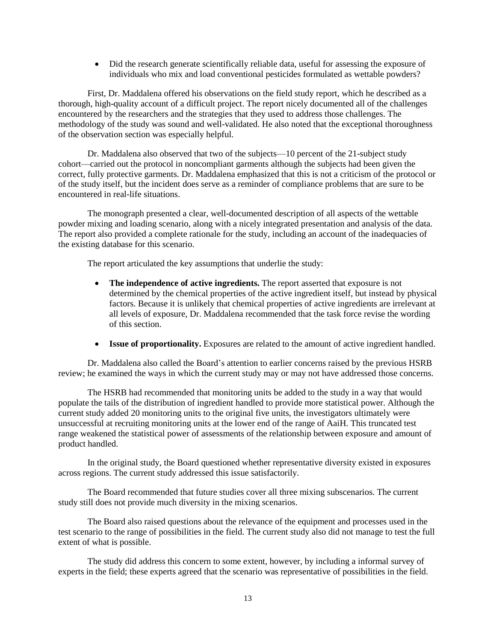Did the research generate scientifically reliable data, useful for assessing the exposure of individuals who mix and load conventional pesticides formulated as wettable powders?

First, Dr. Maddalena offered his observations on the field study report, which he described as a thorough, high-quality account of a difficult project. The report nicely documented all of the challenges encountered by the researchers and the strategies that they used to address those challenges. The methodology of the study was sound and well-validated. He also noted that the exceptional thoroughness of the observation section was especially helpful.

Dr. Maddalena also observed that two of the subjects—10 percent of the 21-subject study cohort—carried out the protocol in noncompliant garments although the subjects had been given the correct, fully protective garments. Dr. Maddalena emphasized that this is not a criticism of the protocol or of the study itself, but the incident does serve as a reminder of compliance problems that are sure to be encountered in real-life situations.

The monograph presented a clear, well-documented description of all aspects of the wettable powder mixing and loading scenario, along with a nicely integrated presentation and analysis of the data. The report also provided a complete rationale for the study, including an account of the inadequacies of the existing database for this scenario.

The report articulated the key assumptions that underlie the study:

- **The independence of active ingredients.** The report asserted that exposure is not determined by the chemical properties of the active ingredient itself, but instead by physical factors. Because it is unlikely that chemical properties of active ingredients are irrelevant at all levels of exposure, Dr. Maddalena recommended that the task force revise the wording of this section.
- **Issue of proportionality.** Exposures are related to the amount of active ingredient handled.

Dr. Maddalena also called the Board's attention to earlier concerns raised by the previous HSRB review; he examined the ways in which the current study may or may not have addressed those concerns.

The HSRB had recommended that monitoring units be added to the study in a way that would populate the tails of the distribution of ingredient handled to provide more statistical power. Although the current study added 20 monitoring units to the original five units, the investigators ultimately were unsuccessful at recruiting monitoring units at the lower end of the range of AaiH. This truncated test range weakened the statistical power of assessments of the relationship between exposure and amount of product handled.

In the original study, the Board questioned whether representative diversity existed in exposures across regions. The current study addressed this issue satisfactorily.

The Board recommended that future studies cover all three mixing subscenarios. The current study still does not provide much diversity in the mixing scenarios.

The Board also raised questions about the relevance of the equipment and processes used in the test scenario to the range of possibilities in the field. The current study also did not manage to test the full extent of what is possible.

The study did address this concern to some extent, however, by including a informal survey of experts in the field; these experts agreed that the scenario was representative of possibilities in the field.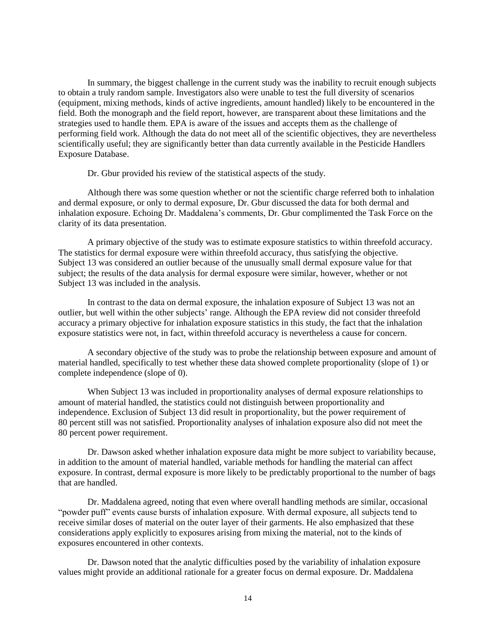In summary, the biggest challenge in the current study was the inability to recruit enough subjects to obtain a truly random sample. Investigators also were unable to test the full diversity of scenarios (equipment, mixing methods, kinds of active ingredients, amount handled) likely to be encountered in the field. Both the monograph and the field report, however, are transparent about these limitations and the strategies used to handle them. EPA is aware of the issues and accepts them as the challenge of performing field work. Although the data do not meet all of the scientific objectives, they are nevertheless scientifically useful; they are significantly better than data currently available in the Pesticide Handlers Exposure Database.

Dr. Gbur provided his review of the statistical aspects of the study.

Although there was some question whether or not the scientific charge referred both to inhalation and dermal exposure, or only to dermal exposure, Dr. Gbur discussed the data for both dermal and inhalation exposure. Echoing Dr. Maddalena's comments, Dr. Gbur complimented the Task Force on the clarity of its data presentation.

A primary objective of the study was to estimate exposure statistics to within threefold accuracy. The statistics for dermal exposure were within threefold accuracy, thus satisfying the objective. Subject 13 was considered an outlier because of the unusually small dermal exposure value for that subject; the results of the data analysis for dermal exposure were similar, however, whether or not Subject 13 was included in the analysis.

In contrast to the data on dermal exposure, the inhalation exposure of Subject 13 was not an outlier, but well within the other subjects' range. Although the EPA review did not consider threefold accuracy a primary objective for inhalation exposure statistics in this study, the fact that the inhalation exposure statistics were not, in fact, within threefold accuracy is nevertheless a cause for concern.

A secondary objective of the study was to probe the relationship between exposure and amount of material handled, specifically to test whether these data showed complete proportionality (slope of 1) or complete independence (slope of 0).

When Subject 13 was included in proportionality analyses of dermal exposure relationships to amount of material handled, the statistics could not distinguish between proportionality and independence. Exclusion of Subject 13 did result in proportionality, but the power requirement of 80 percent still was not satisfied. Proportionality analyses of inhalation exposure also did not meet the 80 percent power requirement.

Dr. Dawson asked whether inhalation exposure data might be more subject to variability because, in addition to the amount of material handled, variable methods for handling the material can affect exposure. In contrast, dermal exposure is more likely to be predictably proportional to the number of bags that are handled.

Dr. Maddalena agreed, noting that even where overall handling methods are similar, occasional "powder puff" events cause bursts of inhalation exposure. With dermal exposure, all subjects tend to receive similar doses of material on the outer layer of their garments. He also emphasized that these considerations apply explicitly to exposures arising from mixing the material, not to the kinds of exposures encountered in other contexts.

Dr. Dawson noted that the analytic difficulties posed by the variability of inhalation exposure values might provide an additional rationale for a greater focus on dermal exposure. Dr. Maddalena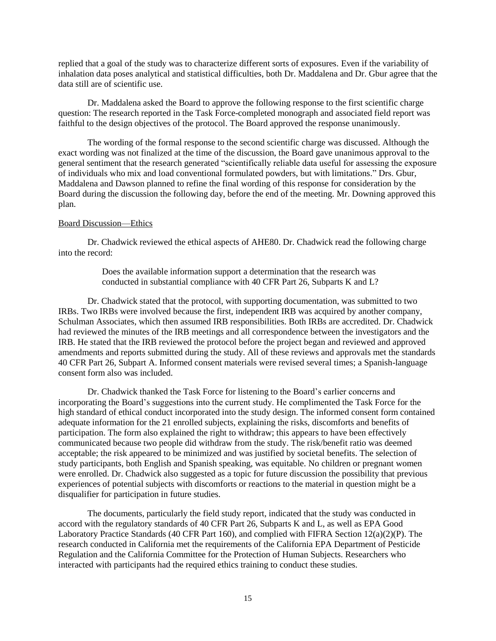replied that a goal of the study was to characterize different sorts of exposures. Even if the variability of inhalation data poses analytical and statistical difficulties, both Dr. Maddalena and Dr. Gbur agree that the data still are of scientific use.

Dr. Maddalena asked the Board to approve the following response to the first scientific charge question: The research reported in the Task Force-completed monograph and associated field report was faithful to the design objectives of the protocol. The Board approved the response unanimously.

The wording of the formal response to the second scientific charge was discussed. Although the exact wording was not finalized at the time of the discussion, the Board gave unanimous approval to the general sentiment that the research generated "scientifically reliable data useful for assessing the exposure of individuals who mix and load conventional formulated powders, but with limitations." Drs. Gbur, Maddalena and Dawson planned to refine the final wording of this response for consideration by the Board during the discussion the following day, before the end of the meeting. Mr. Downing approved this plan.

### Board Discussion—Ethics

Dr. Chadwick reviewed the ethical aspects of AHE80. Dr. Chadwick read the following charge into the record:

> Does the available information support a determination that the research was conducted in substantial compliance with 40 CFR Part 26, Subparts K and L?

Dr. Chadwick stated that the protocol, with supporting documentation, was submitted to two IRBs. Two IRBs were involved because the first, independent IRB was acquired by another company, Schulman Associates, which then assumed IRB responsibilities. Both IRBs are accredited. Dr. Chadwick had reviewed the minutes of the IRB meetings and all correspondence between the investigators and the IRB. He stated that the IRB reviewed the protocol before the project began and reviewed and approved amendments and reports submitted during the study. All of these reviews and approvals met the standards 40 CFR Part 26, Subpart A. Informed consent materials were revised several times; a Spanish-language consent form also was included.

Dr. Chadwick thanked the Task Force for listening to the Board's earlier concerns and incorporating the Board's suggestions into the current study. He complimented the Task Force for the high standard of ethical conduct incorporated into the study design. The informed consent form contained adequate information for the 21 enrolled subjects, explaining the risks, discomforts and benefits of participation. The form also explained the right to withdraw; this appears to have been effectively communicated because two people did withdraw from the study. The risk/benefit ratio was deemed acceptable; the risk appeared to be minimized and was justified by societal benefits. The selection of study participants, both English and Spanish speaking, was equitable. No children or pregnant women were enrolled. Dr. Chadwick also suggested as a topic for future discussion the possibility that previous experiences of potential subjects with discomforts or reactions to the material in question might be a disqualifier for participation in future studies.

The documents, particularly the field study report, indicated that the study was conducted in accord with the regulatory standards of 40 CFR Part 26, Subparts K and L, as well as EPA Good Laboratory Practice Standards (40 CFR Part 160), and complied with FIFRA Section 12(a)(2)(P). The research conducted in California met the requirements of the California EPA Department of Pesticide Regulation and the California Committee for the Protection of Human Subjects. Researchers who interacted with participants had the required ethics training to conduct these studies.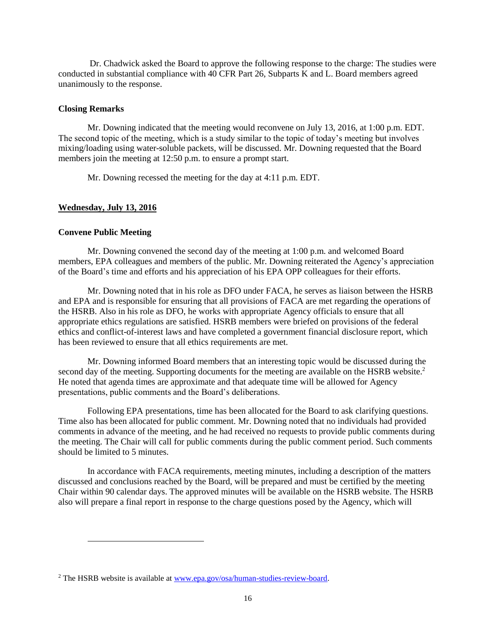Dr. Chadwick asked the Board to approve the following response to the charge: The studies were conducted in substantial compliance with 40 CFR Part 26, Subparts K and L. Board members agreed unanimously to the response.

### **Closing Remarks**

Mr. Downing indicated that the meeting would reconvene on July 13, 2016, at 1:00 p.m. EDT. The second topic of the meeting, which is a study similar to the topic of today's meeting but involves mixing/loading using water-soluble packets, will be discussed. Mr. Downing requested that the Board members join the meeting at 12:50 p.m. to ensure a prompt start.

Mr. Downing recessed the meeting for the day at 4:11 p.m. EDT.

## **Wednesday, July 13, 2016**

## **Convene Public Meeting**

l

Mr. Downing convened the second day of the meeting at 1:00 p.m. and welcomed Board members, EPA colleagues and members of the public. Mr. Downing reiterated the Agency's appreciation of the Board's time and efforts and his appreciation of his EPA OPP colleagues for their efforts.

Mr. Downing noted that in his role as DFO under FACA, he serves as liaison between the HSRB and EPA and is responsible for ensuring that all provisions of FACA are met regarding the operations of the HSRB. Also in his role as DFO, he works with appropriate Agency officials to ensure that all appropriate ethics regulations are satisfied. HSRB members were briefed on provisions of the federal ethics and conflict-of-interest laws and have completed a government financial disclosure report, which has been reviewed to ensure that all ethics requirements are met.

Mr. Downing informed Board members that an interesting topic would be discussed during the second day of the meeting. Supporting documents for the meeting are available on the HSRB website.<sup>2</sup> He noted that agenda times are approximate and that adequate time will be allowed for Agency presentations, public comments and the Board's deliberations.

Following EPA presentations, time has been allocated for the Board to ask clarifying questions. Time also has been allocated for public comment. Mr. Downing noted that no individuals had provided comments in advance of the meeting, and he had received no requests to provide public comments during the meeting. The Chair will call for public comments during the public comment period. Such comments should be limited to 5 minutes.

In accordance with FACA requirements, meeting minutes, including a description of the matters discussed and conclusions reached by the Board, will be prepared and must be certified by the meeting Chair within 90 calendar days. The approved minutes will be available on the HSRB website. The HSRB also will prepare a final report in response to the charge questions posed by the Agency, which will

<sup>&</sup>lt;sup>2</sup> The HSRB website is available at [www.epa.gov/osa/human-studies-review-board.](http://www.epa.gov/osa/human-studies-review-board)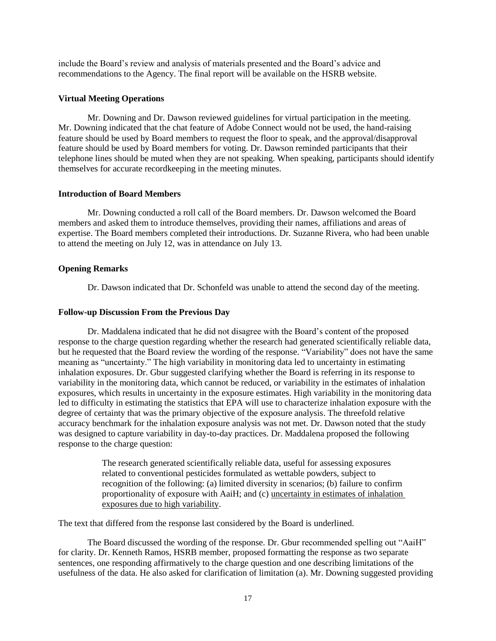include the Board's review and analysis of materials presented and the Board's advice and recommendations to the Agency. The final report will be available on the HSRB website.

## **Virtual Meeting Operations**

Mr. Downing and Dr. Dawson reviewed guidelines for virtual participation in the meeting. Mr. Downing indicated that the chat feature of Adobe Connect would not be used, the hand-raising feature should be used by Board members to request the floor to speak, and the approval/disapproval feature should be used by Board members for voting. Dr. Dawson reminded participants that their telephone lines should be muted when they are not speaking. When speaking, participants should identify themselves for accurate recordkeeping in the meeting minutes.

## **Introduction of Board Members**

Mr. Downing conducted a roll call of the Board members. Dr. Dawson welcomed the Board members and asked them to introduce themselves, providing their names, affiliations and areas of expertise. The Board members completed their introductions. Dr. Suzanne Rivera, who had been unable to attend the meeting on July 12, was in attendance on July 13.

## **Opening Remarks**

Dr. Dawson indicated that Dr. Schonfeld was unable to attend the second day of the meeting.

## **Follow-up Discussion From the Previous Day**

Dr. Maddalena indicated that he did not disagree with the Board's content of the proposed response to the charge question regarding whether the research had generated scientifically reliable data, but he requested that the Board review the wording of the response. "Variability" does not have the same meaning as "uncertainty." The high variability in monitoring data led to uncertainty in estimating inhalation exposures. Dr. Gbur suggested clarifying whether the Board is referring in its response to variability in the monitoring data, which cannot be reduced, or variability in the estimates of inhalation exposures, which results in uncertainty in the exposure estimates. High variability in the monitoring data led to difficulty in estimating the statistics that EPA will use to characterize inhalation exposure with the degree of certainty that was the primary objective of the exposure analysis. The threefold relative accuracy benchmark for the inhalation exposure analysis was not met. Dr. Dawson noted that the study was designed to capture variability in day-to-day practices. Dr. Maddalena proposed the following response to the charge question:

> The research generated scientifically reliable data, useful for assessing exposures related to conventional pesticides formulated as wettable powders, subject to recognition of the following: (a) limited diversity in scenarios; (b) failure to confirm proportionality of exposure with AaiH; and (c) uncertainty in estimates of inhalation exposures due to high variability.

The text that differed from the response last considered by the Board is underlined.

The Board discussed the wording of the response. Dr. Gbur recommended spelling out "AaiH" for clarity. Dr. Kenneth Ramos, HSRB member, proposed formatting the response as two separate sentences, one responding affirmatively to the charge question and one describing limitations of the usefulness of the data. He also asked for clarification of limitation (a). Mr. Downing suggested providing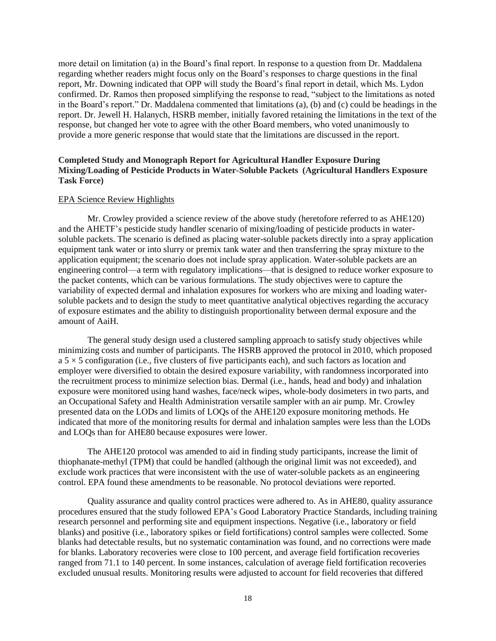more detail on limitation (a) in the Board's final report. In response to a question from Dr. Maddalena regarding whether readers might focus only on the Board's responses to charge questions in the final report, Mr. Downing indicated that OPP will study the Board's final report in detail, which Ms. Lydon confirmed. Dr. Ramos then proposed simplifying the response to read, "subject to the limitations as noted in the Board's report." Dr. Maddalena commented that limitations (a), (b) and (c) could be headings in the report. Dr. Jewell H. Halanych, HSRB member, initially favored retaining the limitations in the text of the response, but changed her vote to agree with the other Board members, who voted unanimously to provide a more generic response that would state that the limitations are discussed in the report.

## **Completed Study and Monograph Report for Agricultural Handler Exposure During Mixing/Loading of Pesticide Products in Water-Soluble Packets (Agricultural Handlers Exposure Task Force)**

#### EPA Science Review Highlights

Mr. Crowley provided a science review of the above study (heretofore referred to as AHE120) and the AHETF's pesticide study handler scenario of mixing/loading of pesticide products in watersoluble packets. The scenario is defined as placing water-soluble packets directly into a spray application equipment tank water or into slurry or premix tank water and then transferring the spray mixture to the application equipment; the scenario does not include spray application. Water-soluble packets are an engineering control—a term with regulatory implications—that is designed to reduce worker exposure to the packet contents, which can be various formulations. The study objectives were to capture the variability of expected dermal and inhalation exposures for workers who are mixing and loading watersoluble packets and to design the study to meet quantitative analytical objectives regarding the accuracy of exposure estimates and the ability to distinguish proportionality between dermal exposure and the amount of AaiH.

The general study design used a clustered sampling approach to satisfy study objectives while minimizing costs and number of participants. The HSRB approved the protocol in 2010, which proposed  $a$  5  $\times$  5 configuration (i.e., five clusters of five participants each), and such factors as location and employer were diversified to obtain the desired exposure variability, with randomness incorporated into the recruitment process to minimize selection bias. Dermal (i.e., hands, head and body) and inhalation exposure were monitored using hand washes, face/neck wipes, whole-body dosimeters in two parts, and an Occupational Safety and Health Administration versatile sampler with an air pump. Mr. Crowley presented data on the LODs and limits of LOQs of the AHE120 exposure monitoring methods. He indicated that more of the monitoring results for dermal and inhalation samples were less than the LODs and LOQs than for AHE80 because exposures were lower.

The AHE120 protocol was amended to aid in finding study participants, increase the limit of thiophanate-methyl (TPM) that could be handled (although the original limit was not exceeded), and exclude work practices that were inconsistent with the use of water-soluble packets as an engineering control. EPA found these amendments to be reasonable. No protocol deviations were reported.

Quality assurance and quality control practices were adhered to. As in AHE80, quality assurance procedures ensured that the study followed EPA's Good Laboratory Practice Standards, including training research personnel and performing site and equipment inspections. Negative (i.e., laboratory or field blanks) and positive (i.e., laboratory spikes or field fortifications) control samples were collected. Some blanks had detectable results, but no systematic contamination was found, and no corrections were made for blanks. Laboratory recoveries were close to 100 percent, and average field fortification recoveries ranged from 71.1 to 140 percent. In some instances, calculation of average field fortification recoveries excluded unusual results. Monitoring results were adjusted to account for field recoveries that differed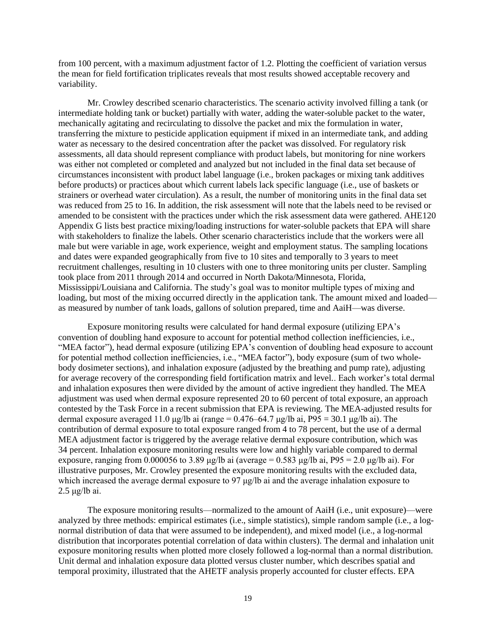from 100 percent, with a maximum adjustment factor of 1.2. Plotting the coefficient of variation versus the mean for field fortification triplicates reveals that most results showed acceptable recovery and variability.

Mr. Crowley described scenario characteristics. The scenario activity involved filling a tank (or intermediate holding tank or bucket) partially with water, adding the water-soluble packet to the water, mechanically agitating and recirculating to dissolve the packet and mix the formulation in water, transferring the mixture to pesticide application equipment if mixed in an intermediate tank, and adding water as necessary to the desired concentration after the packet was dissolved. For regulatory risk assessments, all data should represent compliance with product labels, but monitoring for nine workers was either not completed or completed and analyzed but not included in the final data set because of circumstances inconsistent with product label language (i.e., broken packages or mixing tank additives before products) or practices about which current labels lack specific language (i.e., use of baskets or strainers or overhead water circulation). As a result, the number of monitoring units in the final data set was reduced from 25 to 16. In addition, the risk assessment will note that the labels need to be revised or amended to be consistent with the practices under which the risk assessment data were gathered. AHE120 Appendix G lists best practice mixing/loading instructions for water-soluble packets that EPA will share with stakeholders to finalize the labels. Other scenario characteristics include that the workers were all male but were variable in age, work experience, weight and employment status. The sampling locations and dates were expanded geographically from five to 10 sites and temporally to 3 years to meet recruitment challenges, resulting in 10 clusters with one to three monitoring units per cluster. Sampling took place from 2011 through 2014 and occurred in North Dakota/Minnesota, Florida, Mississippi/Louisiana and California. The study's goal was to monitor multiple types of mixing and loading, but most of the mixing occurred directly in the application tank. The amount mixed and loaded as measured by number of tank loads, gallons of solution prepared, time and AaiH—was diverse.

Exposure monitoring results were calculated for hand dermal exposure (utilizing EPA's convention of doubling hand exposure to account for potential method collection inefficiencies, i.e., "MEA factor"), head dermal exposure (utilizing EPA's convention of doubling head exposure to account for potential method collection inefficiencies, i.e., "MEA factor"), body exposure (sum of two wholebody dosimeter sections), and inhalation exposure (adjusted by the breathing and pump rate), adjusting for average recovery of the corresponding field fortification matrix and level.. Each worker's total dermal and inhalation exposures then were divided by the amount of active ingredient they handled. The MEA adjustment was used when dermal exposure represented 20 to 60 percent of total exposure, an approach contested by the Task Force in a recent submission that EPA is reviewing. The MEA-adjusted results for dermal exposure averaged 11.0 μg/lb ai (range =  $0.476-64.7$  μg/lb ai,  $P95 = 30.1$  μg/lb ai). The contribution of dermal exposure to total exposure ranged from 4 to 78 percent, but the use of a dermal MEA adjustment factor is triggered by the average relative dermal exposure contribution, which was 34 percent. Inhalation exposure monitoring results were low and highly variable compared to dermal exposure, ranging from 0.000056 to 3.89 μg/lb ai (average = 0.583 μg/lb ai, P95 = 2.0 μg/lb ai). For illustrative purposes, Mr. Crowley presented the exposure monitoring results with the excluded data, which increased the average dermal exposure to 97 μg/lb ai and the average inhalation exposure to 2.5 μg/lb ai.

The exposure monitoring results—normalized to the amount of AaiH (i.e., unit exposure)—were analyzed by three methods: empirical estimates (i.e., simple statistics), simple random sample (i.e., a lognormal distribution of data that were assumed to be independent), and mixed model (i.e., a log-normal distribution that incorporates potential correlation of data within clusters). The dermal and inhalation unit exposure monitoring results when plotted more closely followed a log-normal than a normal distribution. Unit dermal and inhalation exposure data plotted versus cluster number, which describes spatial and temporal proximity, illustrated that the AHETF analysis properly accounted for cluster effects. EPA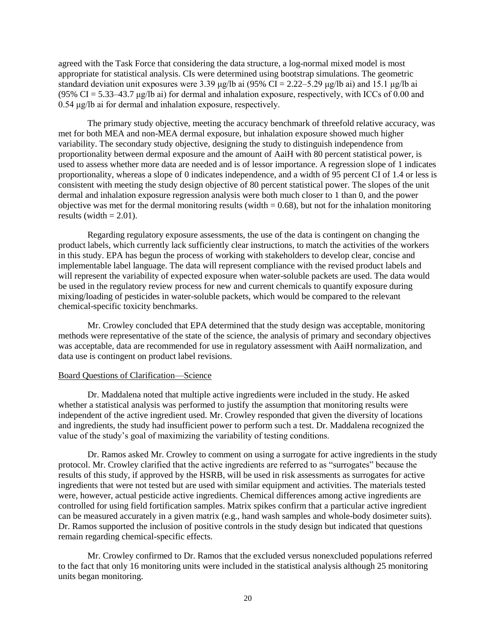agreed with the Task Force that considering the data structure, a log-normal mixed model is most appropriate for statistical analysis. CIs were determined using bootstrap simulations. The geometric standard deviation unit exposures were 3.39 μg/lb ai (95% CI = 2.22–5.29 μg/lb ai) and 15.1 μg/lb ai (95%  $CI = 5.33-43.7 \mu g/lb$  ai) for dermal and inhalation exposure, respectively, with ICCs of 0.00 and 0.54 μg/lb ai for dermal and inhalation exposure, respectively.

The primary study objective, meeting the accuracy benchmark of threefold relative accuracy, was met for both MEA and non-MEA dermal exposure, but inhalation exposure showed much higher variability. The secondary study objective, designing the study to distinguish independence from proportionality between dermal exposure and the amount of AaiH with 80 percent statistical power, is used to assess whether more data are needed and is of lessor importance. A regression slope of 1 indicates proportionality, whereas a slope of 0 indicates independence, and a width of 95 percent CI of 1.4 or less is consistent with meeting the study design objective of 80 percent statistical power. The slopes of the unit dermal and inhalation exposure regression analysis were both much closer to 1 than 0, and the power objective was met for the dermal monitoring results (width  $= 0.68$ ), but not for the inhalation monitoring results (width  $= 2.01$ ).

Regarding regulatory exposure assessments, the use of the data is contingent on changing the product labels, which currently lack sufficiently clear instructions, to match the activities of the workers in this study. EPA has begun the process of working with stakeholders to develop clear, concise and implementable label language. The data will represent compliance with the revised product labels and will represent the variability of expected exposure when water-soluble packets are used. The data would be used in the regulatory review process for new and current chemicals to quantify exposure during mixing/loading of pesticides in water-soluble packets, which would be compared to the relevant chemical-specific toxicity benchmarks.

Mr. Crowley concluded that EPA determined that the study design was acceptable, monitoring methods were representative of the state of the science, the analysis of primary and secondary objectives was acceptable, data are recommended for use in regulatory assessment with AaiH normalization, and data use is contingent on product label revisions.

### Board Questions of Clarification—Science

Dr. Maddalena noted that multiple active ingredients were included in the study. He asked whether a statistical analysis was performed to justify the assumption that monitoring results were independent of the active ingredient used. Mr. Crowley responded that given the diversity of locations and ingredients, the study had insufficient power to perform such a test. Dr. Maddalena recognized the value of the study's goal of maximizing the variability of testing conditions.

Dr. Ramos asked Mr. Crowley to comment on using a surrogate for active ingredients in the study protocol. Mr. Crowley clarified that the active ingredients are referred to as "surrogates" because the results of this study, if approved by the HSRB, will be used in risk assessments as surrogates for active ingredients that were not tested but are used with similar equipment and activities. The materials tested were, however, actual pesticide active ingredients. Chemical differences among active ingredients are controlled for using field fortification samples. Matrix spikes confirm that a particular active ingredient can be measured accurately in a given matrix (e.g., hand wash samples and whole-body dosimeter suits). Dr. Ramos supported the inclusion of positive controls in the study design but indicated that questions remain regarding chemical-specific effects.

Mr. Crowley confirmed to Dr. Ramos that the excluded versus nonexcluded populations referred to the fact that only 16 monitoring units were included in the statistical analysis although 25 monitoring units began monitoring.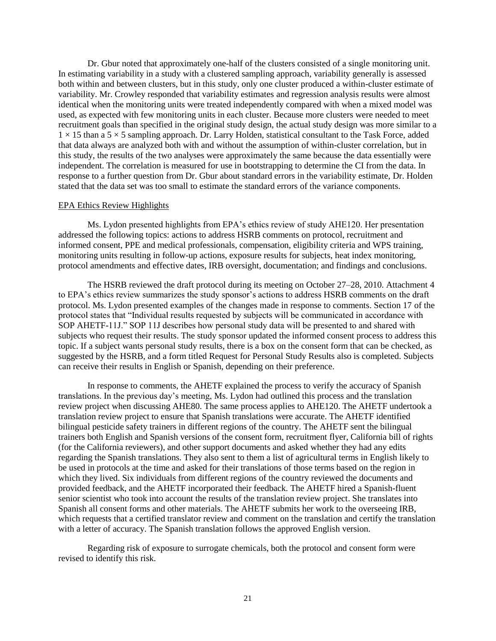Dr. Gbur noted that approximately one-half of the clusters consisted of a single monitoring unit. In estimating variability in a study with a clustered sampling approach, variability generally is assessed both within and between clusters, but in this study, only one cluster produced a within-cluster estimate of variability. Mr. Crowley responded that variability estimates and regression analysis results were almost identical when the monitoring units were treated independently compared with when a mixed model was used, as expected with few monitoring units in each cluster. Because more clusters were needed to meet recruitment goals than specified in the original study design, the actual study design was more similar to a  $1 \times 15$  than a  $5 \times 5$  sampling approach. Dr. Larry Holden, statistical consultant to the Task Force, added that data always are analyzed both with and without the assumption of within-cluster correlation, but in this study, the results of the two analyses were approximately the same because the data essentially were independent. The correlation is measured for use in bootstrapping to determine the CI from the data. In response to a further question from Dr. Gbur about standard errors in the variability estimate, Dr. Holden stated that the data set was too small to estimate the standard errors of the variance components.

#### EPA Ethics Review Highlights

Ms. Lydon presented highlights from EPA's ethics review of study AHE120. Her presentation addressed the following topics: actions to address HSRB comments on protocol, recruitment and informed consent, PPE and medical professionals, compensation, eligibility criteria and WPS training, monitoring units resulting in follow-up actions, exposure results for subjects, heat index monitoring, protocol amendments and effective dates, IRB oversight, documentation; and findings and conclusions.

The HSRB reviewed the draft protocol during its meeting on October 27–28, 2010. Attachment 4 to EPA's ethics review summarizes the study sponsor's actions to address HSRB comments on the draft protocol. Ms. Lydon presented examples of the changes made in response to comments. Section 17 of the protocol states that "Individual results requested by subjects will be communicated in accordance with SOP AHETF-11J." SOP 11J describes how personal study data will be presented to and shared with subjects who request their results. The study sponsor updated the informed consent process to address this topic. If a subject wants personal study results, there is a box on the consent form that can be checked, as suggested by the HSRB, and a form titled Request for Personal Study Results also is completed. Subjects can receive their results in English or Spanish, depending on their preference.

In response to comments, the AHETF explained the process to verify the accuracy of Spanish translations. In the previous day's meeting, Ms. Lydon had outlined this process and the translation review project when discussing AHE80. The same process applies to AHE120. The AHETF undertook a translation review project to ensure that Spanish translations were accurate. The AHETF identified bilingual pesticide safety trainers in different regions of the country. The AHETF sent the bilingual trainers both English and Spanish versions of the consent form, recruitment flyer, California bill of rights (for the California reviewers), and other support documents and asked whether they had any edits regarding the Spanish translations. They also sent to them a list of agricultural terms in English likely to be used in protocols at the time and asked for their translations of those terms based on the region in which they lived. Six individuals from different regions of the country reviewed the documents and provided feedback, and the AHETF incorporated their feedback. The AHETF hired a Spanish-fluent senior scientist who took into account the results of the translation review project. She translates into Spanish all consent forms and other materials. The AHETF submits her work to the overseeing IRB, which requests that a certified translator review and comment on the translation and certify the translation with a letter of accuracy. The Spanish translation follows the approved English version.

Regarding risk of exposure to surrogate chemicals, both the protocol and consent form were revised to identify this risk.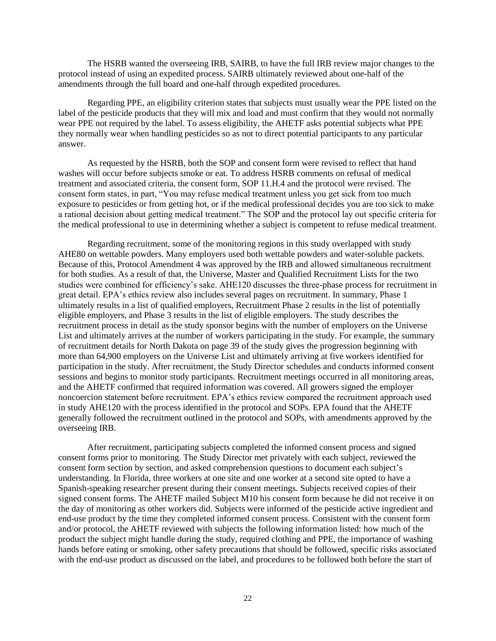The HSRB wanted the overseeing IRB, SAIRB, to have the full IRB review major changes to the protocol instead of using an expedited process. SAIRB ultimately reviewed about one-half of the amendments through the full board and one-half through expedited procedures.

Regarding PPE, an eligibility criterion states that subjects must usually wear the PPE listed on the label of the pesticide products that they will mix and load and must confirm that they would not normally wear PPE not required by the label. To assess eligibility, the AHETF asks potential subjects what PPE they normally wear when handling pesticides so as not to direct potential participants to any particular answer.

As requested by the HSRB, both the SOP and consent form were revised to reflect that hand washes will occur before subjects smoke or eat. To address HSRB comments on refusal of medical treatment and associated criteria, the consent form, SOP 11.H.4 and the protocol were revised. The consent form states, in part, "You may refuse medical treatment unless you get sick from too much exposure to pesticides or from getting hot, or if the medical professional decides you are too sick to make a rational decision about getting medical treatment." The SOP and the protocol lay out specific criteria for the medical professional to use in determining whether a subject is competent to refuse medical treatment.

Regarding recruitment, some of the monitoring regions in this study overlapped with study AHE80 on wettable powders. Many employers used both wettable powders and water-soluble packets. Because of this, Protocol Amendment 4 was approved by the IRB and allowed simultaneous recruitment for both studies. As a result of that, the Universe, Master and Qualified Recruitment Lists for the two studies were combined for efficiency's sake. AHE120 discusses the three-phase process for recruitment in great detail. EPA's ethics review also includes several pages on recruitment. In summary, Phase 1 ultimately results in a list of qualified employers, Recruitment Phase 2 results in the list of potentially eligible employers, and Phase 3 results in the list of eligible employers. The study describes the recruitment process in detail as the study sponsor begins with the number of employers on the Universe List and ultimately arrives at the number of workers participating in the study. For example, the summary of recruitment details for North Dakota on page 39 of the study gives the progression beginning with more than 64,900 employers on the Universe List and ultimately arriving at five workers identified for participation in the study. After recruitment, the Study Director schedules and conducts informed consent sessions and begins to monitor study participants. Recruitment meetings occurred in all monitoring areas, and the AHETF confirmed that required information was covered. All growers signed the employer noncoercion statement before recruitment. EPA's ethics review compared the recruitment approach used in study AHE120 with the process identified in the protocol and SOPs. EPA found that the AHETF generally followed the recruitment outlined in the protocol and SOPs, with amendments approved by the overseeing IRB.

After recruitment, participating subjects completed the informed consent process and signed consent forms prior to monitoring. The Study Director met privately with each subject, reviewed the consent form section by section, and asked comprehension questions to document each subject's understanding. In Florida, three workers at one site and one worker at a second site opted to have a Spanish-speaking researcher present during their consent meetings. Subjects received copies of their signed consent forms. The AHETF mailed Subject M10 his consent form because he did not receive it on the day of monitoring as other workers did. Subjects were informed of the pesticide active ingredient and end-use product by the time they completed informed consent process. Consistent with the consent form and/or protocol, the AHETF reviewed with subjects the following information listed: how much of the product the subject might handle during the study, required clothing and PPE, the importance of washing hands before eating or smoking, other safety precautions that should be followed, specific risks associated with the end-use product as discussed on the label, and procedures to be followed both before the start of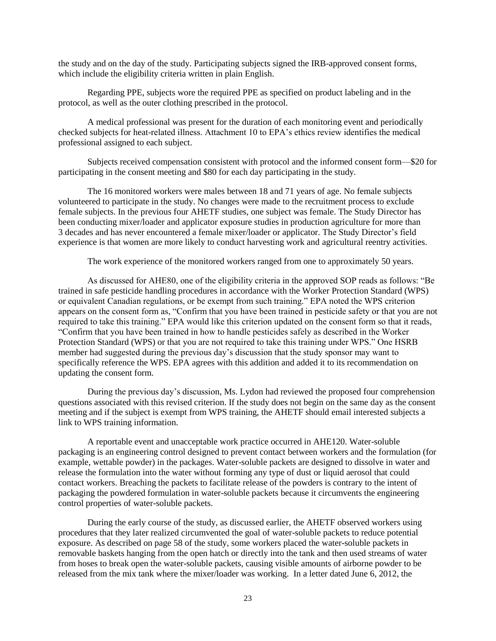the study and on the day of the study. Participating subjects signed the IRB-approved consent forms, which include the eligibility criteria written in plain English.

Regarding PPE, subjects wore the required PPE as specified on product labeling and in the protocol, as well as the outer clothing prescribed in the protocol.

A medical professional was present for the duration of each monitoring event and periodically checked subjects for heat-related illness. Attachment 10 to EPA's ethics review identifies the medical professional assigned to each subject.

Subjects received compensation consistent with protocol and the informed consent form—\$20 for participating in the consent meeting and \$80 for each day participating in the study.

The 16 monitored workers were males between 18 and 71 years of age. No female subjects volunteered to participate in the study. No changes were made to the recruitment process to exclude female subjects. In the previous four AHETF studies, one subject was female. The Study Director has been conducting mixer/loader and applicator exposure studies in production agriculture for more than 3 decades and has never encountered a female mixer/loader or applicator. The Study Director's field experience is that women are more likely to conduct harvesting work and agricultural reentry activities.

The work experience of the monitored workers ranged from one to approximately 50 years.

As discussed for AHE80, one of the eligibility criteria in the approved SOP reads as follows: "Be trained in safe pesticide handling procedures in accordance with the Worker Protection Standard (WPS) or equivalent Canadian regulations, or be exempt from such training." EPA noted the WPS criterion appears on the consent form as, "Confirm that you have been trained in pesticide safety or that you are not required to take this training." EPA would like this criterion updated on the consent form so that it reads, "Confirm that you have been trained in how to handle pesticides safely as described in the Worker Protection Standard (WPS) or that you are not required to take this training under WPS." One HSRB member had suggested during the previous day's discussion that the study sponsor may want to specifically reference the WPS. EPA agrees with this addition and added it to its recommendation on updating the consent form.

During the previous day's discussion, Ms. Lydon had reviewed the proposed four comprehension questions associated with this revised criterion. If the study does not begin on the same day as the consent meeting and if the subject is exempt from WPS training, the AHETF should email interested subjects a link to WPS training information.

A reportable event and unacceptable work practice occurred in AHE120. Water-soluble packaging is an engineering control designed to prevent contact between workers and the formulation (for example, wettable powder) in the packages. Water-soluble packets are designed to dissolve in water and release the formulation into the water without forming any type of dust or liquid aerosol that could contact workers. Breaching the packets to facilitate release of the powders is contrary to the intent of packaging the powdered formulation in water-soluble packets because it circumvents the engineering control properties of water-soluble packets.

During the early course of the study, as discussed earlier, the AHETF observed workers using procedures that they later realized circumvented the goal of water-soluble packets to reduce potential exposure. As described on page 58 of the study, some workers placed the water-soluble packets in removable baskets hanging from the open hatch or directly into the tank and then used streams of water from hoses to break open the water-soluble packets, causing visible amounts of airborne powder to be released from the mix tank where the mixer/loader was working. In a letter dated June 6, 2012, the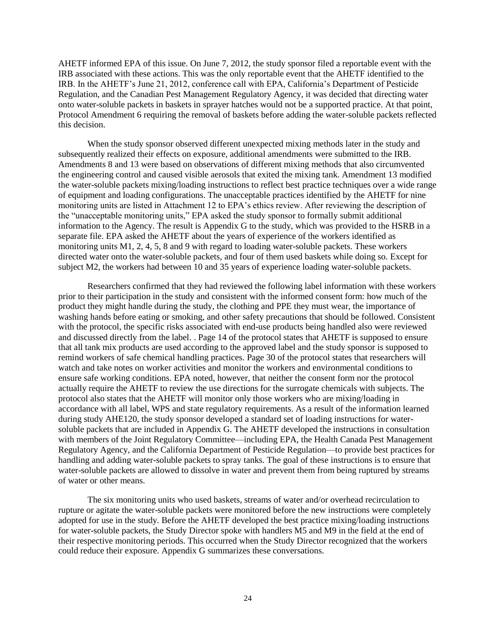AHETF informed EPA of this issue. On June 7, 2012, the study sponsor filed a reportable event with the IRB associated with these actions. This was the only reportable event that the AHETF identified to the IRB. In the AHETF's June 21, 2012, conference call with EPA, California's Department of Pesticide Regulation, and the Canadian Pest Management Regulatory Agency, it was decided that directing water onto water-soluble packets in baskets in sprayer hatches would not be a supported practice. At that point, Protocol Amendment 6 requiring the removal of baskets before adding the water-soluble packets reflected this decision.

When the study sponsor observed different unexpected mixing methods later in the study and subsequently realized their effects on exposure, additional amendments were submitted to the IRB. Amendments 8 and 13 were based on observations of different mixing methods that also circumvented the engineering control and caused visible aerosols that exited the mixing tank. Amendment 13 modified the water-soluble packets mixing/loading instructions to reflect best practice techniques over a wide range of equipment and loading configurations. The unacceptable practices identified by the AHETF for nine monitoring units are listed in Attachment 12 to EPA's ethics review. After reviewing the description of the "unacceptable monitoring units," EPA asked the study sponsor to formally submit additional information to the Agency. The result is Appendix G to the study, which was provided to the HSRB in a separate file. EPA asked the AHETF about the years of experience of the workers identified as monitoring units M1, 2, 4, 5, 8 and 9 with regard to loading water-soluble packets. These workers directed water onto the water-soluble packets, and four of them used baskets while doing so. Except for subject M2, the workers had between 10 and 35 years of experience loading water-soluble packets.

Researchers confirmed that they had reviewed the following label information with these workers prior to their participation in the study and consistent with the informed consent form: how much of the product they might handle during the study, the clothing and PPE they must wear, the importance of washing hands before eating or smoking, and other safety precautions that should be followed. Consistent with the protocol, the specific risks associated with end-use products being handled also were reviewed and discussed directly from the label. . Page 14 of the protocol states that AHETF is supposed to ensure that all tank mix products are used according to the approved label and the study sponsor is supposed to remind workers of safe chemical handling practices. Page 30 of the protocol states that researchers will watch and take notes on worker activities and monitor the workers and environmental conditions to ensure safe working conditions. EPA noted, however, that neither the consent form nor the protocol actually require the AHETF to review the use directions for the surrogate chemicals with subjects. The protocol also states that the AHETF will monitor only those workers who are mixing/loading in accordance with all label, WPS and state regulatory requirements. As a result of the information learned during study AHE120, the study sponsor developed a standard set of loading instructions for watersoluble packets that are included in Appendix G. The AHETF developed the instructions in consultation with members of the Joint Regulatory Committee—including EPA, the Health Canada Pest Management Regulatory Agency, and the California Department of Pesticide Regulation—to provide best practices for handling and adding water-soluble packets to spray tanks. The goal of these instructions is to ensure that water-soluble packets are allowed to dissolve in water and prevent them from being ruptured by streams of water or other means.

The six monitoring units who used baskets, streams of water and/or overhead recirculation to rupture or agitate the water-soluble packets were monitored before the new instructions were completely adopted for use in the study. Before the AHETF developed the best practice mixing/loading instructions for water-soluble packets, the Study Director spoke with handlers M5 and M9 in the field at the end of their respective monitoring periods. This occurred when the Study Director recognized that the workers could reduce their exposure. Appendix G summarizes these conversations.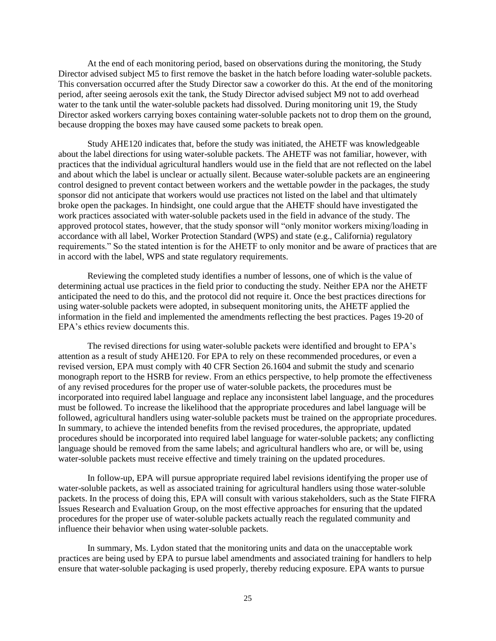At the end of each monitoring period, based on observations during the monitoring, the Study Director advised subject M5 to first remove the basket in the hatch before loading water-soluble packets. This conversation occurred after the Study Director saw a coworker do this. At the end of the monitoring period, after seeing aerosols exit the tank, the Study Director advised subject M9 not to add overhead water to the tank until the water-soluble packets had dissolved. During monitoring unit 19, the Study Director asked workers carrying boxes containing water-soluble packets not to drop them on the ground, because dropping the boxes may have caused some packets to break open.

Study AHE120 indicates that, before the study was initiated, the AHETF was knowledgeable about the label directions for using water-soluble packets. The AHETF was not familiar, however, with practices that the individual agricultural handlers would use in the field that are not reflected on the label and about which the label is unclear or actually silent. Because water-soluble packets are an engineering control designed to prevent contact between workers and the wettable powder in the packages, the study sponsor did not anticipate that workers would use practices not listed on the label and that ultimately broke open the packages. In hindsight, one could argue that the AHETF should have investigated the work practices associated with water-soluble packets used in the field in advance of the study. The approved protocol states, however, that the study sponsor will "only monitor workers mixing/loading in accordance with all label, Worker Protection Standard (WPS) and state (e.g., California) regulatory requirements." So the stated intention is for the AHETF to only monitor and be aware of practices that are in accord with the label, WPS and state regulatory requirements.

Reviewing the completed study identifies a number of lessons, one of which is the value of determining actual use practices in the field prior to conducting the study. Neither EPA nor the AHETF anticipated the need to do this, and the protocol did not require it. Once the best practices directions for using water-soluble packets were adopted, in subsequent monitoring units, the AHETF applied the information in the field and implemented the amendments reflecting the best practices. Pages 19-20 of EPA's ethics review documents this.

The revised directions for using water-soluble packets were identified and brought to EPA's attention as a result of study AHE120. For EPA to rely on these recommended procedures, or even a revised version, EPA must comply with 40 CFR Section 26.1604 and submit the study and scenario monograph report to the HSRB for review. From an ethics perspective, to help promote the effectiveness of any revised procedures for the proper use of water-soluble packets, the procedures must be incorporated into required label language and replace any inconsistent label language, and the procedures must be followed. To increase the likelihood that the appropriate procedures and label language will be followed, agricultural handlers using water-soluble packets must be trained on the appropriate procedures. In summary, to achieve the intended benefits from the revised procedures, the appropriate, updated procedures should be incorporated into required label language for water-soluble packets; any conflicting language should be removed from the same labels; and agricultural handlers who are, or will be, using water-soluble packets must receive effective and timely training on the updated procedures.

In follow-up, EPA will pursue appropriate required label revisions identifying the proper use of water-soluble packets, as well as associated training for agricultural handlers using those water-soluble packets. In the process of doing this, EPA will consult with various stakeholders, such as the State FIFRA Issues Research and Evaluation Group, on the most effective approaches for ensuring that the updated procedures for the proper use of water-soluble packets actually reach the regulated community and influence their behavior when using water-soluble packets.

In summary, Ms. Lydon stated that the monitoring units and data on the unacceptable work practices are being used by EPA to pursue label amendments and associated training for handlers to help ensure that water-soluble packaging is used properly, thereby reducing exposure. EPA wants to pursue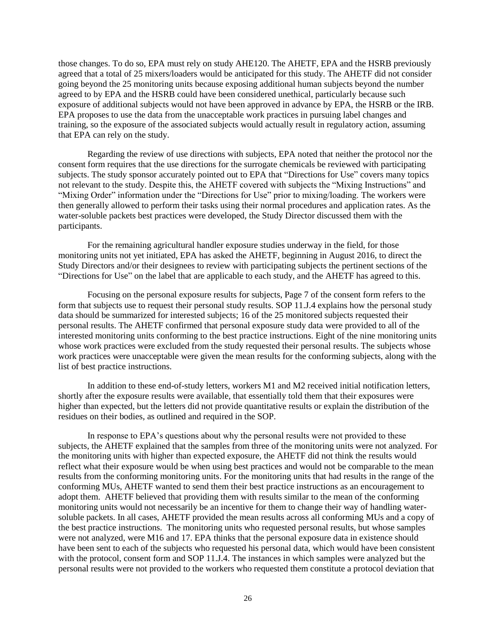those changes. To do so, EPA must rely on study AHE120. The AHETF, EPA and the HSRB previously agreed that a total of 25 mixers/loaders would be anticipated for this study. The AHETF did not consider going beyond the 25 monitoring units because exposing additional human subjects beyond the number agreed to by EPA and the HSRB could have been considered unethical, particularly because such exposure of additional subjects would not have been approved in advance by EPA, the HSRB or the IRB. EPA proposes to use the data from the unacceptable work practices in pursuing label changes and training, so the exposure of the associated subjects would actually result in regulatory action, assuming that EPA can rely on the study.

Regarding the review of use directions with subjects, EPA noted that neither the protocol nor the consent form requires that the use directions for the surrogate chemicals be reviewed with participating subjects. The study sponsor accurately pointed out to EPA that "Directions for Use" covers many topics not relevant to the study. Despite this, the AHETF covered with subjects the "Mixing Instructions" and "Mixing Order" information under the "Directions for Use" prior to mixing/loading. The workers were then generally allowed to perform their tasks using their normal procedures and application rates. As the water-soluble packets best practices were developed, the Study Director discussed them with the participants.

For the remaining agricultural handler exposure studies underway in the field, for those monitoring units not yet initiated, EPA has asked the AHETF, beginning in August 2016, to direct the Study Directors and/or their designees to review with participating subjects the pertinent sections of the "Directions for Use" on the label that are applicable to each study, and the AHETF has agreed to this.

Focusing on the personal exposure results for subjects, Page 7 of the consent form refers to the form that subjects use to request their personal study results. SOP 11.J.4 explains how the personal study data should be summarized for interested subjects; 16 of the 25 monitored subjects requested their personal results. The AHETF confirmed that personal exposure study data were provided to all of the interested monitoring units conforming to the best practice instructions. Eight of the nine monitoring units whose work practices were excluded from the study requested their personal results. The subjects whose work practices were unacceptable were given the mean results for the conforming subjects, along with the list of best practice instructions.

In addition to these end-of-study letters, workers M1 and M2 received initial notification letters, shortly after the exposure results were available, that essentially told them that their exposures were higher than expected, but the letters did not provide quantitative results or explain the distribution of the residues on their bodies, as outlined and required in the SOP.

In response to EPA's questions about why the personal results were not provided to these subjects, the AHETF explained that the samples from three of the monitoring units were not analyzed. For the monitoring units with higher than expected exposure, the AHETF did not think the results would reflect what their exposure would be when using best practices and would not be comparable to the mean results from the conforming monitoring units. For the monitoring units that had results in the range of the conforming MUs, AHETF wanted to send them their best practice instructions as an encouragement to adopt them. AHETF believed that providing them with results similar to the mean of the conforming monitoring units would not necessarily be an incentive for them to change their way of handling watersoluble packets. In all cases, AHETF provided the mean results across all conforming MUs and a copy of the best practice instructions. The monitoring units who requested personal results, but whose samples were not analyzed, were M16 and 17. EPA thinks that the personal exposure data in existence should have been sent to each of the subjects who requested his personal data, which would have been consistent with the protocol, consent form and SOP 11.J.4. The instances in which samples were analyzed but the personal results were not provided to the workers who requested them constitute a protocol deviation that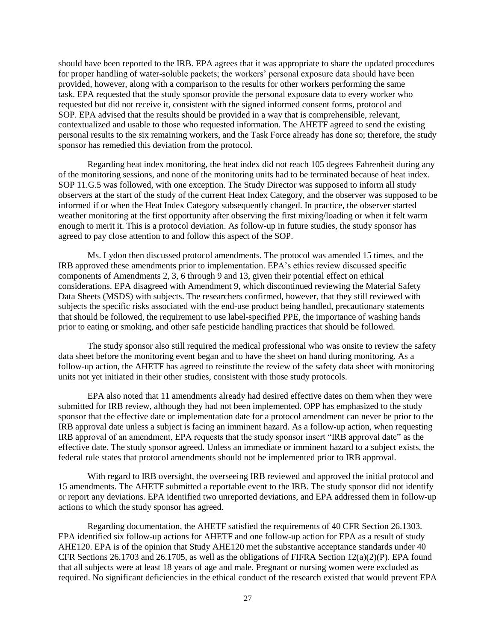should have been reported to the IRB. EPA agrees that it was appropriate to share the updated procedures for proper handling of water-soluble packets; the workers' personal exposure data should have been provided, however, along with a comparison to the results for other workers performing the same task. EPA requested that the study sponsor provide the personal exposure data to every worker who requested but did not receive it, consistent with the signed informed consent forms, protocol and SOP. EPA advised that the results should be provided in a way that is comprehensible, relevant, contextualized and usable to those who requested information. The AHETF agreed to send the existing personal results to the six remaining workers, and the Task Force already has done so; therefore, the study sponsor has remedied this deviation from the protocol.

Regarding heat index monitoring, the heat index did not reach 105 degrees Fahrenheit during any of the monitoring sessions, and none of the monitoring units had to be terminated because of heat index. SOP 11.G.5 was followed, with one exception. The Study Director was supposed to inform all study observers at the start of the study of the current Heat Index Category, and the observer was supposed to be informed if or when the Heat Index Category subsequently changed. In practice, the observer started weather monitoring at the first opportunity after observing the first mixing/loading or when it felt warm enough to merit it. This is a protocol deviation. As follow-up in future studies, the study sponsor has agreed to pay close attention to and follow this aspect of the SOP.

Ms. Lydon then discussed protocol amendments. The protocol was amended 15 times, and the IRB approved these amendments prior to implementation. EPA's ethics review discussed specific components of Amendments 2, 3, 6 through 9 and 13, given their potential effect on ethical considerations. EPA disagreed with Amendment 9, which discontinued reviewing the Material Safety Data Sheets (MSDS) with subjects. The researchers confirmed, however, that they still reviewed with subjects the specific risks associated with the end-use product being handled, precautionary statements that should be followed, the requirement to use label-specified PPE, the importance of washing hands prior to eating or smoking, and other safe pesticide handling practices that should be followed.

The study sponsor also still required the medical professional who was onsite to review the safety data sheet before the monitoring event began and to have the sheet on hand during monitoring. As a follow-up action, the AHETF has agreed to reinstitute the review of the safety data sheet with monitoring units not yet initiated in their other studies, consistent with those study protocols.

EPA also noted that 11 amendments already had desired effective dates on them when they were submitted for IRB review, although they had not been implemented. OPP has emphasized to the study sponsor that the effective date or implementation date for a protocol amendment can never be prior to the IRB approval date unless a subject is facing an imminent hazard. As a follow-up action, when requesting IRB approval of an amendment, EPA requests that the study sponsor insert "IRB approval date" as the effective date. The study sponsor agreed. Unless an immediate or imminent hazard to a subject exists, the federal rule states that protocol amendments should not be implemented prior to IRB approval.

With regard to IRB oversight, the overseeing IRB reviewed and approved the initial protocol and 15 amendments. The AHETF submitted a reportable event to the IRB. The study sponsor did not identify or report any deviations. EPA identified two unreported deviations, and EPA addressed them in follow-up actions to which the study sponsor has agreed.

Regarding documentation, the AHETF satisfied the requirements of 40 CFR Section 26.1303. EPA identified six follow-up actions for AHETF and one follow-up action for EPA as a result of study AHE120. EPA is of the opinion that Study AHE120 met the substantive acceptance standards under 40 CFR Sections 26.1703 and 26.1705, as well as the obligations of FIFRA Section 12(a)(2)(P). EPA found that all subjects were at least 18 years of age and male. Pregnant or nursing women were excluded as required. No significant deficiencies in the ethical conduct of the research existed that would prevent EPA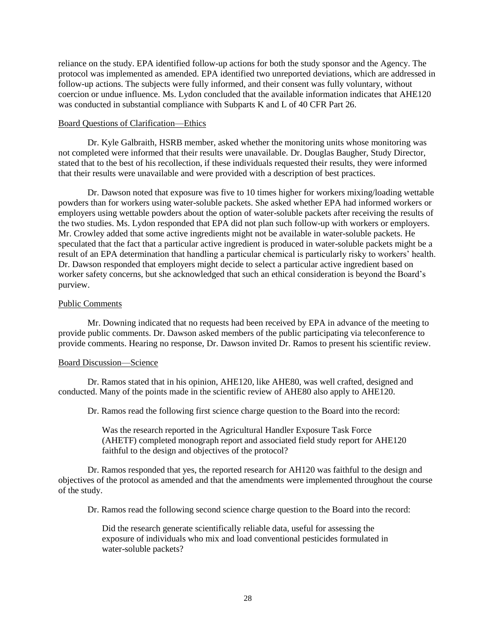reliance on the study. EPA identified follow-up actions for both the study sponsor and the Agency. The protocol was implemented as amended. EPA identified two unreported deviations, which are addressed in follow-up actions. The subjects were fully informed, and their consent was fully voluntary, without coercion or undue influence. Ms. Lydon concluded that the available information indicates that AHE120 was conducted in substantial compliance with Subparts K and L of 40 CFR Part 26.

#### Board Questions of Clarification—Ethics

Dr. Kyle Galbraith, HSRB member, asked whether the monitoring units whose monitoring was not completed were informed that their results were unavailable. Dr. Douglas Baugher, Study Director, stated that to the best of his recollection, if these individuals requested their results, they were informed that their results were unavailable and were provided with a description of best practices.

Dr. Dawson noted that exposure was five to 10 times higher for workers mixing/loading wettable powders than for workers using water-soluble packets. She asked whether EPA had informed workers or employers using wettable powders about the option of water-soluble packets after receiving the results of the two studies. Ms. Lydon responded that EPA did not plan such follow-up with workers or employers. Mr. Crowley added that some active ingredients might not be available in water-soluble packets. He speculated that the fact that a particular active ingredient is produced in water-soluble packets might be a result of an EPA determination that handling a particular chemical is particularly risky to workers' health. Dr. Dawson responded that employers might decide to select a particular active ingredient based on worker safety concerns, but she acknowledged that such an ethical consideration is beyond the Board's purview.

#### Public Comments

Mr. Downing indicated that no requests had been received by EPA in advance of the meeting to provide public comments. Dr. Dawson asked members of the public participating via teleconference to provide comments. Hearing no response, Dr. Dawson invited Dr. Ramos to present his scientific review.

### Board Discussion—Science

Dr. Ramos stated that in his opinion, AHE120, like AHE80, was well crafted, designed and conducted. Many of the points made in the scientific review of AHE80 also apply to AHE120.

Dr. Ramos read the following first science charge question to the Board into the record:

Was the research reported in the Agricultural Handler Exposure Task Force (AHETF) completed monograph report and associated field study report for AHE120 faithful to the design and objectives of the protocol?

Dr. Ramos responded that yes, the reported research for AH120 was faithful to the design and objectives of the protocol as amended and that the amendments were implemented throughout the course of the study.

Dr. Ramos read the following second science charge question to the Board into the record:

Did the research generate scientifically reliable data, useful for assessing the exposure of individuals who mix and load conventional pesticides formulated in water-soluble packets?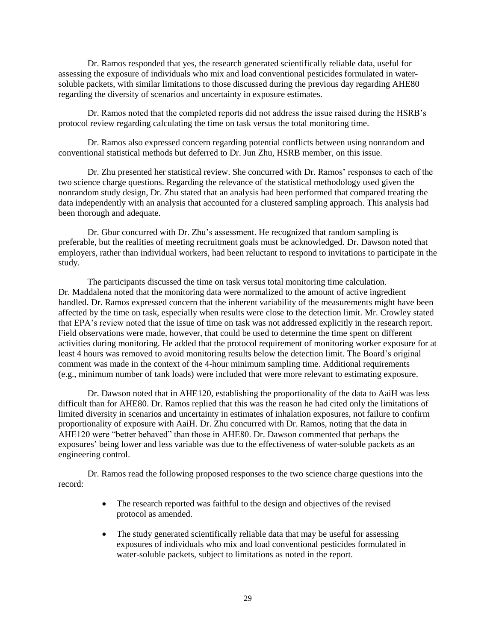Dr. Ramos responded that yes, the research generated scientifically reliable data, useful for assessing the exposure of individuals who mix and load conventional pesticides formulated in watersoluble packets, with similar limitations to those discussed during the previous day regarding AHE80 regarding the diversity of scenarios and uncertainty in exposure estimates.

Dr. Ramos noted that the completed reports did not address the issue raised during the HSRB's protocol review regarding calculating the time on task versus the total monitoring time.

Dr. Ramos also expressed concern regarding potential conflicts between using nonrandom and conventional statistical methods but deferred to Dr. Jun Zhu, HSRB member, on this issue.

Dr. Zhu presented her statistical review. She concurred with Dr. Ramos' responses to each of the two science charge questions. Regarding the relevance of the statistical methodology used given the nonrandom study design, Dr. Zhu stated that an analysis had been performed that compared treating the data independently with an analysis that accounted for a clustered sampling approach. This analysis had been thorough and adequate.

Dr. Gbur concurred with Dr. Zhu's assessment. He recognized that random sampling is preferable, but the realities of meeting recruitment goals must be acknowledged. Dr. Dawson noted that employers, rather than individual workers, had been reluctant to respond to invitations to participate in the study.

The participants discussed the time on task versus total monitoring time calculation. Dr. Maddalena noted that the monitoring data were normalized to the amount of active ingredient handled. Dr. Ramos expressed concern that the inherent variability of the measurements might have been affected by the time on task, especially when results were close to the detection limit. Mr. Crowley stated that EPA's review noted that the issue of time on task was not addressed explicitly in the research report. Field observations were made, however, that could be used to determine the time spent on different activities during monitoring. He added that the protocol requirement of monitoring worker exposure for at least 4 hours was removed to avoid monitoring results below the detection limit. The Board's original comment was made in the context of the 4-hour minimum sampling time. Additional requirements (e.g., minimum number of tank loads) were included that were more relevant to estimating exposure.

Dr. Dawson noted that in AHE120, establishing the proportionality of the data to AaiH was less difficult than for AHE80. Dr. Ramos replied that this was the reason he had cited only the limitations of limited diversity in scenarios and uncertainty in estimates of inhalation exposures, not failure to confirm proportionality of exposure with AaiH. Dr. Zhu concurred with Dr. Ramos, noting that the data in AHE120 were "better behaved" than those in AHE80. Dr. Dawson commented that perhaps the exposures' being lower and less variable was due to the effectiveness of water-soluble packets as an engineering control.

Dr. Ramos read the following proposed responses to the two science charge questions into the record:

- The research reported was faithful to the design and objectives of the revised protocol as amended.
- The study generated scientifically reliable data that may be useful for assessing exposures of individuals who mix and load conventional pesticides formulated in water-soluble packets, subject to limitations as noted in the report.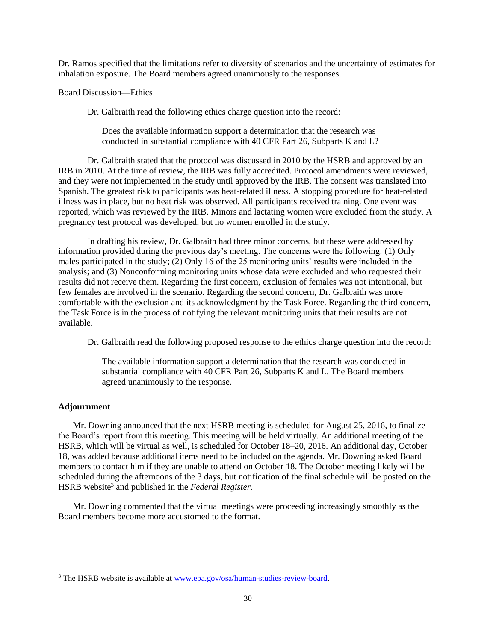Dr. Ramos specified that the limitations refer to diversity of scenarios and the uncertainty of estimates for inhalation exposure. The Board members agreed unanimously to the responses.

### Board Discussion—Ethics

Dr. Galbraith read the following ethics charge question into the record:

Does the available information support a determination that the research was conducted in substantial compliance with 40 CFR Part 26, Subparts K and L?

Dr. Galbraith stated that the protocol was discussed in 2010 by the HSRB and approved by an IRB in 2010. At the time of review, the IRB was fully accredited. Protocol amendments were reviewed, and they were not implemented in the study until approved by the IRB. The consent was translated into Spanish. The greatest risk to participants was heat-related illness. A stopping procedure for heat-related illness was in place, but no heat risk was observed. All participants received training. One event was reported, which was reviewed by the IRB. Minors and lactating women were excluded from the study. A pregnancy test protocol was developed, but no women enrolled in the study.

In drafting his review, Dr. Galbraith had three minor concerns, but these were addressed by information provided during the previous day's meeting. The concerns were the following: (1) Only males participated in the study; (2) Only 16 of the 25 monitoring units' results were included in the analysis; and (3) Nonconforming monitoring units whose data were excluded and who requested their results did not receive them. Regarding the first concern, exclusion of females was not intentional, but few females are involved in the scenario. Regarding the second concern, Dr. Galbraith was more comfortable with the exclusion and its acknowledgment by the Task Force. Regarding the third concern, the Task Force is in the process of notifying the relevant monitoring units that their results are not available.

Dr. Galbraith read the following proposed response to the ethics charge question into the record:

The available information support a determination that the research was conducted in substantial compliance with 40 CFR Part 26, Subparts K and L. The Board members agreed unanimously to the response.

### **Adjournment**

l

Mr. Downing announced that the next HSRB meeting is scheduled for August 25, 2016, to finalize the Board's report from this meeting*.* This meeting will be held virtually. An additional meeting of the HSRB, which will be virtual as well, is scheduled for October 18–20, 2016. An additional day, October 18, was added because additional items need to be included on the agenda. Mr. Downing asked Board members to contact him if they are unable to attend on October 18. The October meeting likely will be scheduled during the afternoons of the 3 days, but notification of the final schedule will be posted on the HSRB website<sup>3</sup> and published in the *Federal Register*.

Mr. Downing commented that the virtual meetings were proceeding increasingly smoothly as the Board members become more accustomed to the format.

<sup>&</sup>lt;sup>3</sup> The HSRB website is available at [www.epa.gov/osa/human-studies-review-board.](http://www.epa.gov/osa/human-studies-review-board)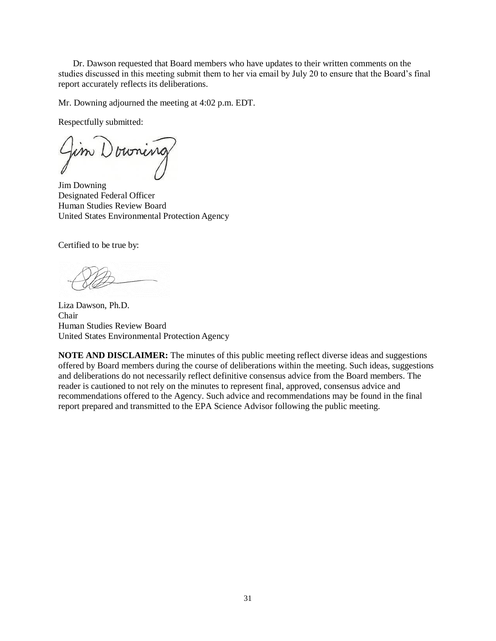Dr. Dawson requested that Board members who have updates to their written comments on the studies discussed in this meeting submit them to her via email by July 20 to ensure that the Board's final report accurately reflects its deliberations.

Mr. Downing adjourned the meeting at 4:02 p.m. EDT.

Respectfully submitted:

Jim Downing Designated Federal Officer Human Studies Review Board United States Environmental Protection Agency

Certified to be true by:

Liza Dawson, Ph.D. Chair Human Studies Review Board United States Environmental Protection Agency

**NOTE AND DISCLAIMER:** The minutes of this public meeting reflect diverse ideas and suggestions offered by Board members during the course of deliberations within the meeting. Such ideas, suggestions and deliberations do not necessarily reflect definitive consensus advice from the Board members. The reader is cautioned to not rely on the minutes to represent final, approved, consensus advice and recommendations offered to the Agency. Such advice and recommendations may be found in the final report prepared and transmitted to the EPA Science Advisor following the public meeting.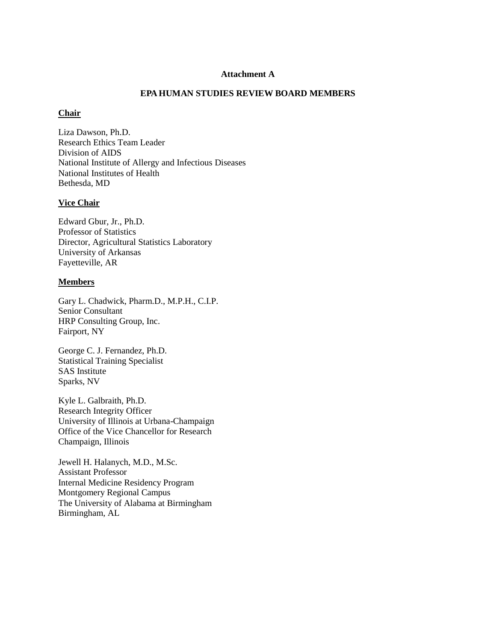## **Attachment A**

## **EPA HUMAN STUDIES REVIEW BOARD MEMBERS**

### **Chair**

Liza Dawson, Ph.D. Research Ethics Team Leader Division of AIDS National Institute of Allergy and Infectious Diseases National Institutes of Health Bethesda, MD

## **Vice Chair**

Edward Gbur, Jr., Ph.D. Professor of Statistics Director, Agricultural Statistics Laboratory University of Arkansas Fayetteville, AR

# **Members**

Gary L. Chadwick, Pharm.D., M.P.H., C.I.P. Senior Consultant HRP Consulting Group, Inc. Fairport, NY

George C. J. Fernandez, Ph.D. Statistical Training Specialist SAS Institute Sparks, NV

Kyle L. Galbraith, Ph.D. Research Integrity Officer University of Illinois at Urbana-Champaign Office of the Vice Chancellor for Research Champaign, Illinois

Jewell H. Halanych, M.D., M.Sc. Assistant Professor Internal Medicine Residency Program Montgomery Regional Campus The University of Alabama at Birmingham Birmingham, AL